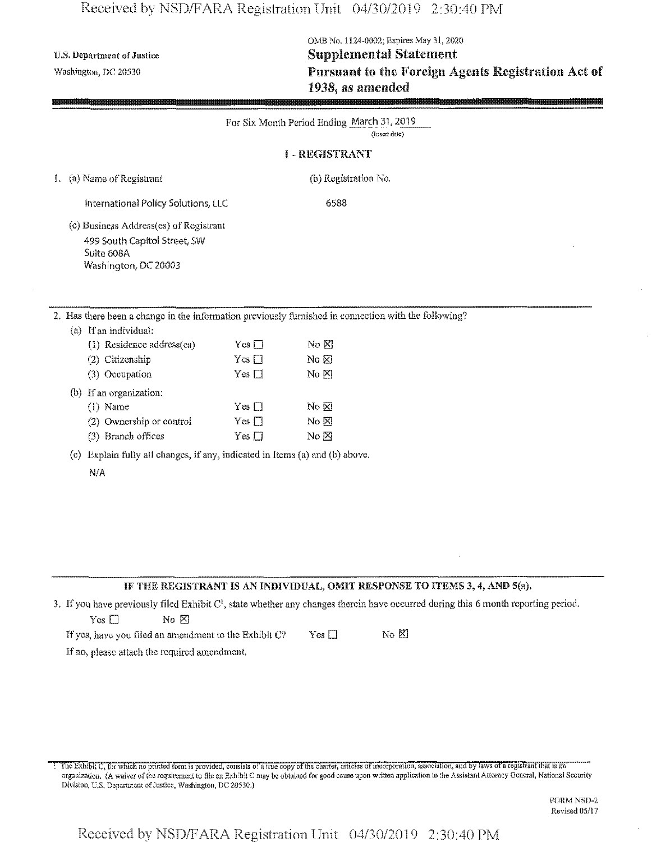### Received by NSD/FARA Registration Unit 04/30/2019 2:30:40 PM

(b) Ifan organization: (1) Name

N/A

(2) Ownership or control (3) Branch offices

## GME No. 1124-0002; Expires May 31, 2020 U.S. Department of Justice Supplemental Statement Washington, nc <sup>20530</sup>**Pursuant to the Foreign** Agents **Registration Act of 1938**, as amended

|                                                                                                      |            | For Six Month Period Ending March 31, 2019 |               |  |
|------------------------------------------------------------------------------------------------------|------------|--------------------------------------------|---------------|--|
|                                                                                                      |            |                                            | (Insert date) |  |
|                                                                                                      |            | <b>I-REGISTRANT</b>                        |               |  |
| 1. (a) Name of Registrant                                                                            |            | (b) Registration No.                       |               |  |
| International Policy Solutions, LLC                                                                  |            | 6588                                       |               |  |
| (c) Business Address(es) of Registrant                                                               |            |                                            |               |  |
| 499 South Capitol Street, SW                                                                         |            |                                            |               |  |
| Suite 608A                                                                                           |            |                                            |               |  |
| Washington, DC 20003                                                                                 |            |                                            |               |  |
|                                                                                                      |            |                                            |               |  |
|                                                                                                      |            |                                            |               |  |
| 2. Has there been a change in the information previously furnished in connection with the following? |            |                                            |               |  |
| If an individual:<br>(a)                                                                             |            |                                            |               |  |
| (1) Residence address(es)                                                                            | $Yes \Box$ | $\rm{No} \boxtimes$                        |               |  |
| Citizenship<br>(2)                                                                                   | $Yes \Box$ | $No$ $N0$                                  |               |  |
| (3) Occupation                                                                                       | $Yes \Box$ | $\rm N_0$ $\rm N$                          |               |  |

 $No<sub>K</sub>$  $No &$  $No  $\boxtimes$$ 

### **IF** THE REGISTRANT IS AN **INDIVIDUAL, OMIT RESPONSE TO ITEMS** 3, 4, **AND** 5(a).

3. If you have previously filed Exhibit  $C<sup>1</sup>$ , state whether any changes therein have occurred during this 6 month reporting period.  $Yes \Box$  No  $\boxtimes$ 

If yos, have you filed an amendment to the Exhibit C? Yes  $\Box$  No  $\boxtimes$ If no, please attach the required amendment.

Yes □ Yes  $\square$ Yes  $\square$ 

(c) Explain fully all changes, if any, indicated in Items (a) and (b) above.

I The Exhibit C, for which no printed form is provided, consists of a rue copy of the charter, articles of incorporation, association, and by laws of a registrant that is an organization, (A waiver ofthe requirement to file an Exhibit C maybe obtained for good cause upon written application lo the Assistant Attorney General, National Security Division, U.S. Department of Justice, Washington, DC 20530.)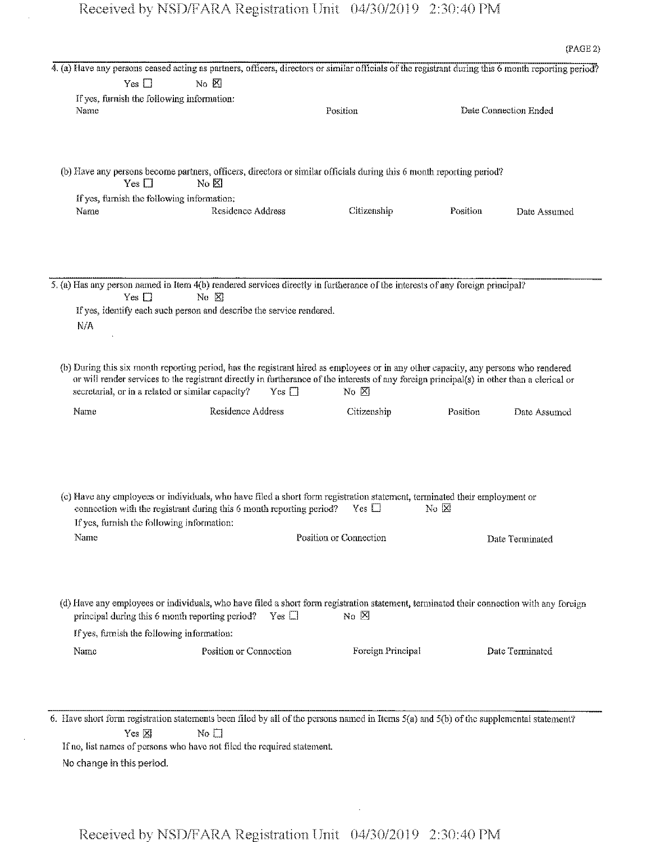4. (a) Have any persons ceased acting as partners, officers, directors or similar officials of the registrant during this 6 month reporting period?  $Yes \Box$  No  $X$ Ifyes, furnish the following information: Name **Position** Position **Date Connection Ended** (b) Have any persons become partners, officers, directors or similar officials during this 6 month reporting period?<br>
Yes  $\Box$  No  $\boxtimes$ If yes, furnish the following information: Name **Residence Address** Citizenship Position Date Assumed 5. (a) Has any person named in Item 4(b) rendered services directly in furtherance of the interests of any foreign principal? Yes  $\square$  No  $\boxtimes$ Ifyes, identify each such person and describe the service rendered. N/A (b) During this six month reporting period, has the registrant hired as employees or in any other capacity, any persons who rendered or will render services to the registrant directly in furtherance of the interests of any foreign principal(s) in other than a clerical or secretarial, or in a related or similar capacity? Yes  $\square$  No  $\boxtimes$ Name Residence Address Citizenship Position Date Assumed (c) Have any employees or individuals, who have filed a short form registration statement, terminated their employment or connection with the registrant during this 6 month reporting period? Yes  $\Box$  No  $\boxtimes$ Ifyes, furnish the following information: Name **Name** Position or Connection **Date Terminated** (d) Have any employees or individuals, who have filed a short form registration statement, terminated their connection with any foreign principal during this 6 month reporting period? Yes  $\Box$  No  $\boxtimes$ Ifyes, furnish the following information: Name Position or Connection Foreign Principal Date Terminated

6. Have short form registration statements been filed by all of the persons named in Items 5(a) and 5(b) of the supplemental statement? Yes **⊠** No □

If no, list names of persons who have not filed the required statement. No change in this period.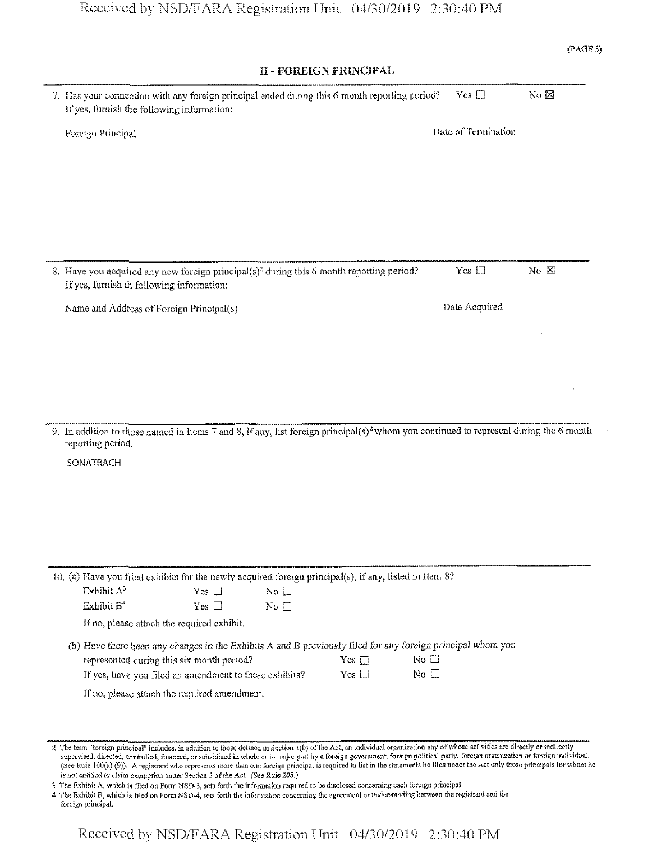# Received by NSD/FARA Registration Unit 04/30/2019 2:30:40 PM

| <b>II - FOREIGN PRINCIPAL</b>                                                                                                                            |                     |                |
|----------------------------------------------------------------------------------------------------------------------------------------------------------|---------------------|----------------|
| 7. Has your connection with any foreign principal ended during this 6 month reporting period?<br>If yes, furnish the following information:              | Yes $\square$       | No $\boxtimes$ |
| Foreign Principal                                                                                                                                        | Date of Termination |                |
|                                                                                                                                                          |                     |                |
| 8. Have you acquired any new foreign principal(s) <sup>2</sup> during this 6 month reporting period?<br>If yes, furnish th following information:        | Yes $\Box$          | No <b>X</b>    |
| Name and Address of Foreign Principal(s)                                                                                                                 | Date Acquired       |                |
|                                                                                                                                                          |                     |                |
|                                                                                                                                                          |                     |                |
|                                                                                                                                                          |                     |                |
|                                                                                                                                                          |                     |                |
| 9. In addition to those named in Items 7 and 8, if any, list foreign principal(s) <sup>2</sup> whom you continued to represent during the 6 month        |                     |                |
| reporting period.<br><b>SONATRACH</b>                                                                                                                    |                     |                |
|                                                                                                                                                          |                     |                |
|                                                                                                                                                          |                     |                |
|                                                                                                                                                          |                     |                |
|                                                                                                                                                          |                     |                |
| 10. (a) Have you filed exhibits for the newly acquired foreign principal(s), if any, listed in Item 8?<br>Exhibit $A^3$<br>No $\square$<br>Yes $\square$ |                     |                |
| Exhibit B <sup>4</sup><br>Yes $\square$<br>No $\square$<br>If no, please attach the required exhibit.                                                    |                     |                |
| (b) Have there been any changes in the Exhibits A and B previously filed for any foreign principal whom you<br>$No$ $\square$                            |                     |                |
| represented during this six month period?<br>Yes $\square$<br>$No \square$<br>If yes, have you filed an amendment to these exhibits?<br>Yes $\square$    |                     |                |

2 The term "foreign principal" includes, in addition to those defined in Section 1(b) of the Act, an individual organization any of whose activities are directly or indirectly supervised, directed, controlled, financed, or subsidized in whole or in major part by a foreign government, foreign political party, foreign organization or foreign individual. (See Rule 100(a) (9)). A registrant who represents more than one foreign principal is required to list in the statements he files under the Act only those principals for whom he is not entitled to claim exemption under Section 3 of the Act. (See Rule 208.)

3 The Exhibit A, which is filed on Form NSD-3, sets forth the information required to be disclosed concerning each foreign principal.

4 The Exhibit B, which is filed on Form NSD-4, sets forth the information concerning the agreement or understanding between the registrant and the foreign principal.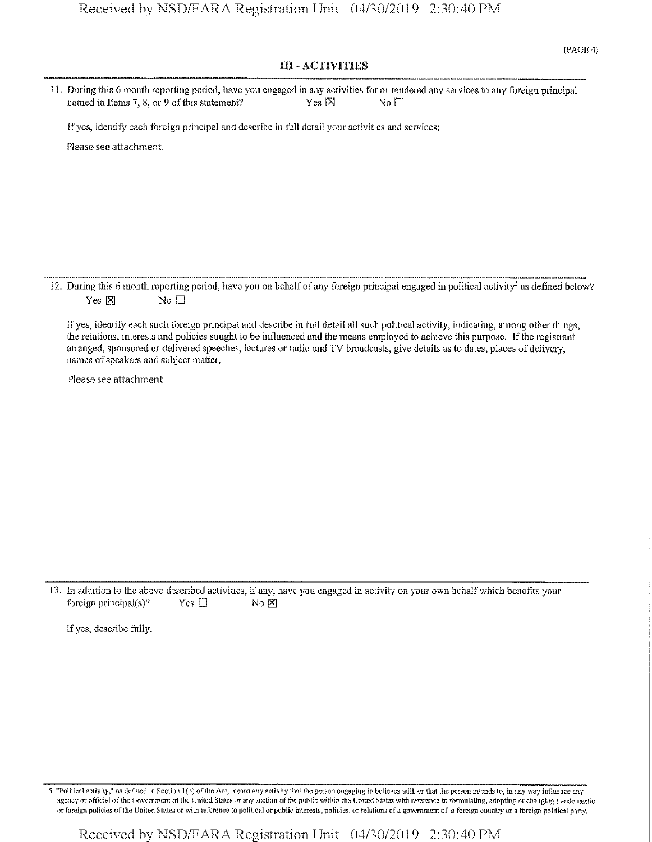#### III - ACTIVITIES

| 11. During this 6 month reporting period, have you engaged in any activities for or rendered any services to any foreign principal |              |       |  |
|------------------------------------------------------------------------------------------------------------------------------------|--------------|-------|--|
| named in Items $7, 8$ , or 9 of this statement?                                                                                    | Yes <b>X</b> | No El |  |

Ifyes, identify each foreign principal and describe in full detail your activities and services:

Please see attachment.

12. During this 6 month reporting period, have you on behalf of any foreign principal engaged in political activity<sup>5</sup> as defined below? Yes  $\times$  No  $\Box$ 

Ifyes, identify each such foreign principal and describe in full detail all such political activity, indicating, among other things, the relations, interests and policies sought to be influenced and the means employed to achieve this purpose. Ifthe registrant arranged, sponsored or delivered speeches, lectures or radio and TV broadcasts, give details as to dates, places of delivery, names of speakers and subject matter.

Please see attachment

13. In addition to the above described activities, if any, have you engaged in activity on your own behalf which benefits your foreign principal(s)? Yes  $\Box$  No  $\boxtimes$ 

Ifyes, describe fully.

5 "Political activity," as defined in Section 1(o) of the Act, means any activity that the person engaging in believes will, or that the person intends to, in any way influence any agency or official of the Government of the United States or any section of the public within the United States with reference to formulating, adopting or changing the domestic or foreign policies of the United States or with reference to political or public interests, policies, or relations of a government of a foreign country or a foreign political party.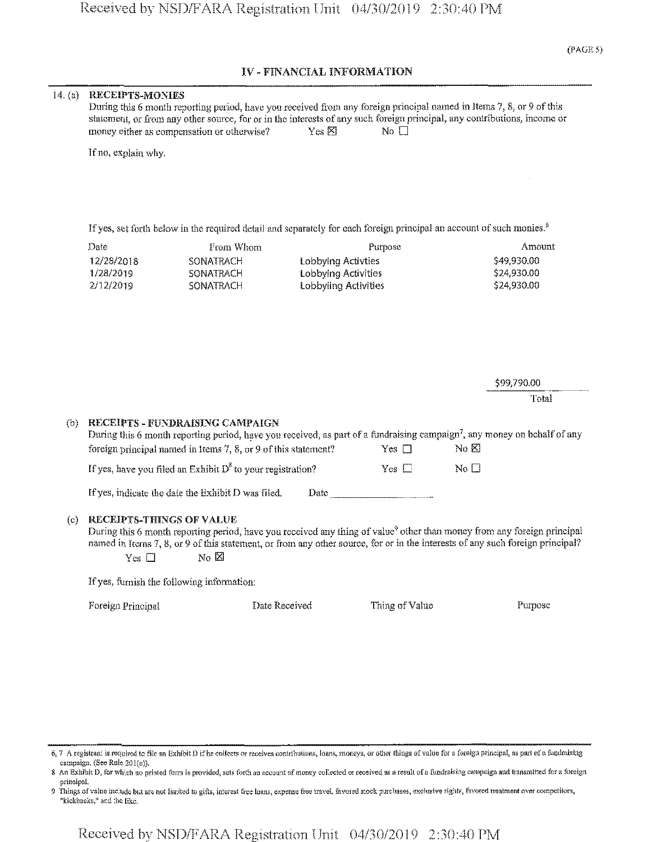### **IV -** FINANCIAL **INFORMATION**

#### 14. (a) RECEIPTS-MONIES

| During this 6 month reporting period, have you received from any foreign principal named in Items 7, 8, or 9 of this     |                          |       |  |
|--------------------------------------------------------------------------------------------------------------------------|--------------------------|-------|--|
| statement, or from any other source, for or in the interests of any such foreign principal, any contributions, income or |                          |       |  |
| money either as compensation or otherwise?                                                                               | $Yes \n  \triangleright$ | No El |  |

If no, explain why.

If yes, set forth below in the required detail and separately for each foreign principal an account of such monies.<sup>6</sup>

| Date       | From Whom | Purpose              | Amount      |
|------------|-----------|----------------------|-------------|
| 12/28/2018 | SONATRACH | Lobbying Activties   | \$49,930.00 |
| 1/28/2019  | SONATRACH | Lobbying Activities  | \$24,930.00 |
| 2/12/2019  | SONATRACH | Lobbyling Activities | \$24,930.00 |

\$99,790.00

Total

# (b) RECEIPTS **- FUNDRAISING CAMPAIGN** During this 6 month reporting period, have you received, as part of a fundraising campaign<sup>7</sup>, any money on bchalf of any foreign principal named in Items 7, 8, or 9 of this statement? Yes  $\square$  No  $\boxtimes$ If yes, have you filed an Exhibit D<sup>8</sup> to your registration? Yes  $\Box$  No  $\Box$ If yes, indicate the date the Exhibit  $D$  was filed. Date...

#### (c) **RECEIPTS-THINGS OF VALUE**

During this 6 month reporting period, have you received any thing of value<sup>9</sup> other than money from any foreign principal named in Items 7, 8, or 9 of this statement, or from any other source, for or in the interests of any such foreign principal? Yes  $\square$  No  $\boxtimes$ 

If yes, furnish the following information:

Foreign Principal **Date Received** Thing of Value Purpose

- 6,7 A registrars is required to file an Exhibit D ifhe collects or receives contributions, loans, moneys, or other things ofvalue for a foreign principal, as part of a fundraising campaign. (See Rule 201(e)).
- 8 An Exhibit D, for which no printed form is provided, sets forth an account of money collected or received as a result of a fundraising campaign and transmitted for a foreign principal.
- 9 Things of value include but are not limited to gifts, interest free loans, expense free travel, favored stock purchases, exclusive rights, favored treatment over competitors, "kickbacks," and the like.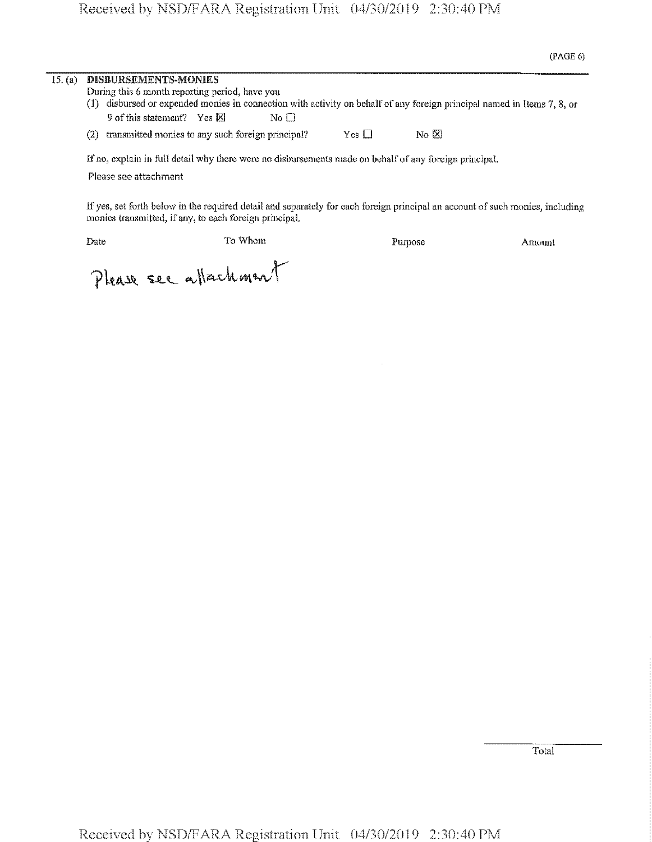| 15. (a) | DISBURSEMENTS-MONIES                                  |                 |            |                                                                                                                     |  |
|---------|-------------------------------------------------------|-----------------|------------|---------------------------------------------------------------------------------------------------------------------|--|
|         | During this 6 month reporting period, have you        |                 |            |                                                                                                                     |  |
|         |                                                       |                 |            | disbursed or expended monies in connection with activity on behalf of any foreign principal named in Items 7, 8, or |  |
|         | 9 of this statement? Yes $\boxtimes$                  | No <sub>1</sub> |            |                                                                                                                     |  |
|         | (2) transmitted monies to any such foreign principal? |                 | Yes $\Box$ | $\overline{N}_0$ $\overline{X}$                                                                                     |  |
|         |                                                       |                 |            | If no, explain in full detail why there were no disbursements made on behalf of any foreign principal.              |  |

Please see attachment

If yes, set forth below in the required detail and separately for each foreign principal an account of such monies, including monies transmitted, if any, to each foreign principal.

Date To Whom To Whom Purpose Amount

Please ser attachment

Total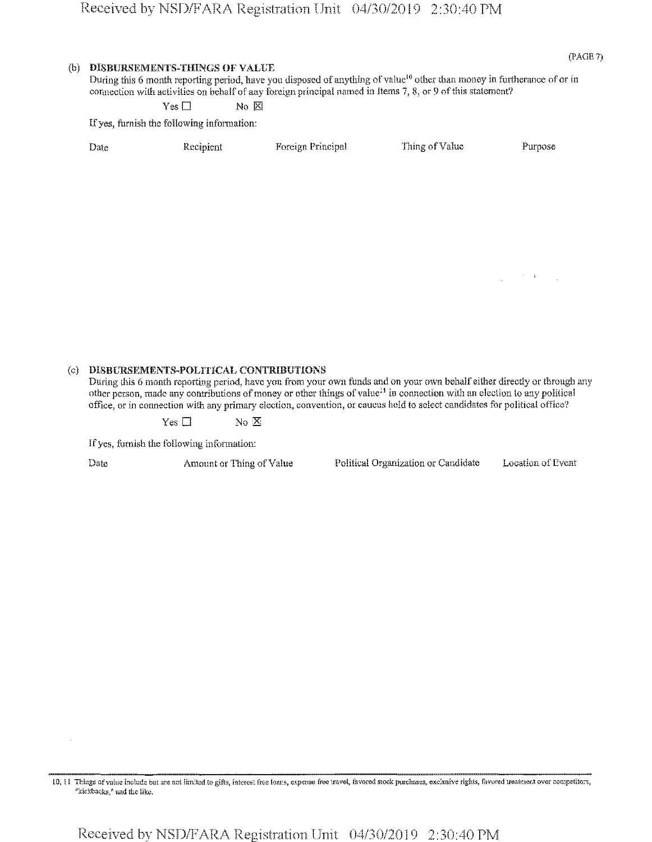#### **(b) WSBURSEMENTS-THINGS OF VALUE**

(PAGE 7)

During this 6 month reporting period, have you disposed of anything of value<sup>10</sup> other than money in furtherance of or in connection with activities on behalf of any foreign principal named in Items 7, 8, or 9 of this statement?

Yes □ No **⊠** 

If yes, furnish the following information:

| Date | Recipient | Foreign Principal | Thing of Value | Purpos |
|------|-----------|-------------------|----------------|--------|
|      |           |                   |                |        |

 $\mathcal{F} \in \mathcal{F}$  , and

#### (c) **DISBURSEMENTS-POLITICAL** CONTRIBUTIONS

During this 6 month reporting period, have you from your own funds and on your own behalf either directly or through any other person, made any contributions of money or other things of value<sup>11</sup> in connection with an election to any political office, or in connection with any primary election, convention, or caucus held to select candidates for political office?

Yes  $\square$  No  $\mathbb{X}$ 

If yes, furnish the following information:

Date Amount or Thing of Value Political Organization or Candidate Location of Event

<sup>10, 11</sup> Things of value include but are not limited to gifts, interest free leans, expense free travel, favored stock purchases, exclusive rights, favored treatment over competitors, "kickbacks," and the like.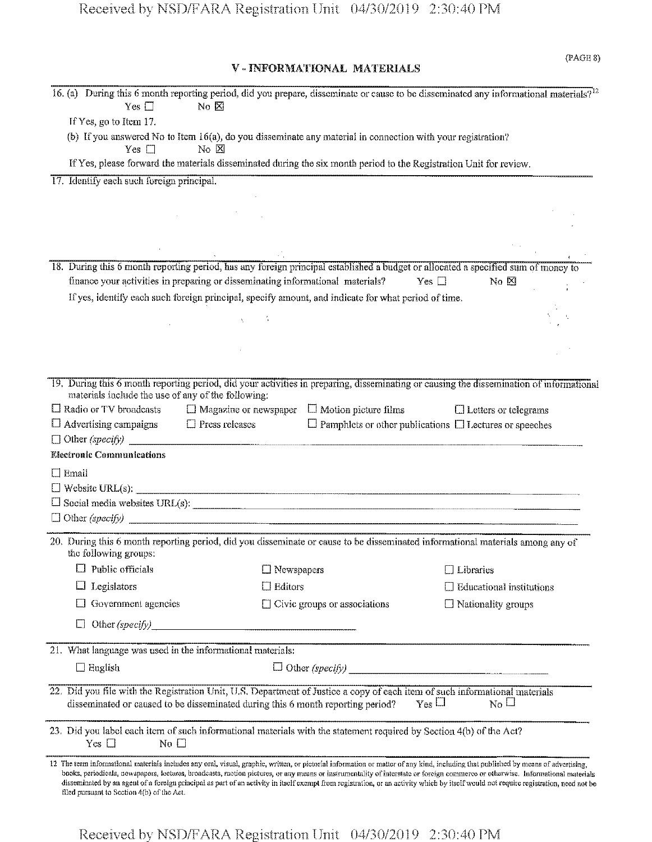### V - INFORMATIONAL MATERIALS

| 16. (a) During this 6 month reporting period, did you prepare, disseminate or cause to be disseminated any informational materials? <sup>12</sup><br>Yes $\square$<br>No $\boxtimes$                                                                                                                                                                                                                                                                                                                                                                                                                        |                                                          |                                                                    |
|-------------------------------------------------------------------------------------------------------------------------------------------------------------------------------------------------------------------------------------------------------------------------------------------------------------------------------------------------------------------------------------------------------------------------------------------------------------------------------------------------------------------------------------------------------------------------------------------------------------|----------------------------------------------------------|--------------------------------------------------------------------|
| If Yes, go to Item 17.                                                                                                                                                                                                                                                                                                                                                                                                                                                                                                                                                                                      |                                                          |                                                                    |
| (b) If you answered No to Item 16(a), do you disseminate any material in connection with your registration?<br>$No \times$<br>$Yes \Box$                                                                                                                                                                                                                                                                                                                                                                                                                                                                    |                                                          |                                                                    |
| If Yes, please forward the materials disseminated during the six month period to the Registration Unit for review.                                                                                                                                                                                                                                                                                                                                                                                                                                                                                          |                                                          |                                                                    |
| 17. Identify each such foreign principal.                                                                                                                                                                                                                                                                                                                                                                                                                                                                                                                                                                   |                                                          |                                                                    |
|                                                                                                                                                                                                                                                                                                                                                                                                                                                                                                                                                                                                             |                                                          |                                                                    |
|                                                                                                                                                                                                                                                                                                                                                                                                                                                                                                                                                                                                             |                                                          |                                                                    |
|                                                                                                                                                                                                                                                                                                                                                                                                                                                                                                                                                                                                             |                                                          |                                                                    |
|                                                                                                                                                                                                                                                                                                                                                                                                                                                                                                                                                                                                             |                                                          |                                                                    |
|                                                                                                                                                                                                                                                                                                                                                                                                                                                                                                                                                                                                             |                                                          |                                                                    |
| 18. During this 6 month reporting period, has any foreign principal established a budget or allocated a specified sum of money to                                                                                                                                                                                                                                                                                                                                                                                                                                                                           |                                                          |                                                                    |
| finance your activities in preparing or disseminating informational materials?                                                                                                                                                                                                                                                                                                                                                                                                                                                                                                                              |                                                          | $No \n  \boxtimesYes \square$                                      |
| If yes, identify each such foreign principal, specify amount, and indicate for what period of time.                                                                                                                                                                                                                                                                                                                                                                                                                                                                                                         |                                                          |                                                                    |
|                                                                                                                                                                                                                                                                                                                                                                                                                                                                                                                                                                                                             |                                                          |                                                                    |
|                                                                                                                                                                                                                                                                                                                                                                                                                                                                                                                                                                                                             |                                                          |                                                                    |
|                                                                                                                                                                                                                                                                                                                                                                                                                                                                                                                                                                                                             |                                                          |                                                                    |
|                                                                                                                                                                                                                                                                                                                                                                                                                                                                                                                                                                                                             |                                                          |                                                                    |
| 19. During this 6 month reporting period, did your activities in preparing, disseminating or causing the dissemination of informational                                                                                                                                                                                                                                                                                                                                                                                                                                                                     |                                                          |                                                                    |
| materials include the use of any of the following:                                                                                                                                                                                                                                                                                                                                                                                                                                                                                                                                                          |                                                          |                                                                    |
| $\Box$ Radio or TV broadcasts                                                                                                                                                                                                                                                                                                                                                                                                                                                                                                                                                                               | $\Box$ Magazine or newspaper $\Box$ Motion picture films | $\Box$ Letters or telegrams                                        |
| $\Box$ Advertising campaigns<br>$\Box$ Press releases                                                                                                                                                                                                                                                                                                                                                                                                                                                                                                                                                       |                                                          | $\Box$ Pamphlets or other publications $\Box$ Lectures or speeches |
| $\Box$ Other (specify)                                                                                                                                                                                                                                                                                                                                                                                                                                                                                                                                                                                      |                                                          |                                                                    |
| <b>Electronic Communications</b>                                                                                                                                                                                                                                                                                                                                                                                                                                                                                                                                                                            |                                                          |                                                                    |
| $\Box$ Email                                                                                                                                                                                                                                                                                                                                                                                                                                                                                                                                                                                                |                                                          |                                                                    |
|                                                                                                                                                                                                                                                                                                                                                                                                                                                                                                                                                                                                             |                                                          |                                                                    |
| $\Box$ Social media websites URL(s): $\Box$                                                                                                                                                                                                                                                                                                                                                                                                                                                                                                                                                                 |                                                          |                                                                    |
|                                                                                                                                                                                                                                                                                                                                                                                                                                                                                                                                                                                                             |                                                          |                                                                    |
| 20. During this 6 month reporting period, did you disseminate or cause to be disseminated informational materials among any of                                                                                                                                                                                                                                                                                                                                                                                                                                                                              |                                                          |                                                                    |
| the following groups:                                                                                                                                                                                                                                                                                                                                                                                                                                                                                                                                                                                       |                                                          |                                                                    |
| Public officials                                                                                                                                                                                                                                                                                                                                                                                                                                                                                                                                                                                            | $\Box$ Newspapers                                        | $\Box$ Libraries                                                   |
| Legislators                                                                                                                                                                                                                                                                                                                                                                                                                                                                                                                                                                                                 | Editors                                                  | <b>Educational institutions</b>                                    |
| Government agencies                                                                                                                                                                                                                                                                                                                                                                                                                                                                                                                                                                                         | $\Box$ Civic groups or associations                      | $\Box$ Nationality groups                                          |
|                                                                                                                                                                                                                                                                                                                                                                                                                                                                                                                                                                                                             |                                                          |                                                                    |
| Other (specify)                                                                                                                                                                                                                                                                                                                                                                                                                                                                                                                                                                                             |                                                          |                                                                    |
| 21. What language was used in the informational materials:                                                                                                                                                                                                                                                                                                                                                                                                                                                                                                                                                  |                                                          |                                                                    |
|                                                                                                                                                                                                                                                                                                                                                                                                                                                                                                                                                                                                             |                                                          |                                                                    |
| $\Box$ English                                                                                                                                                                                                                                                                                                                                                                                                                                                                                                                                                                                              |                                                          | $\Box$ Other (specify)                                             |
| 22. Did you file with the Registration Unit, U.S. Department of Justice a copy of each item of such informational materials<br>disseminated or caused to be disseminated during this 6 month reporting period?                                                                                                                                                                                                                                                                                                                                                                                              |                                                          | $_{\rm Yes}$ $\Box$<br>$_{\rm No}$ $\Box$                          |
| 23. Did you label each item of such informational materials with the statement required by Section 4(b) of the Act?<br>Yes $\Box$<br>No $\square$                                                                                                                                                                                                                                                                                                                                                                                                                                                           |                                                          |                                                                    |
| 12 The term informational materials includes any oral, visual, graphic, written, or pietorial information or matter of any kind, including that published by means of advertising,<br>books, periodicals, newspapers, lectures, broadcasts, motion pictures, or any means or instrumentality of interstate or foreign commerce or otherwise. Informational materials<br>disseminated by an agent of a foreign principal as part of an activity in itself excmpt from registration, or an activity which by itself would not require registration, need not be<br>filed pursuant to Section 4(b) of the Act. |                                                          |                                                                    |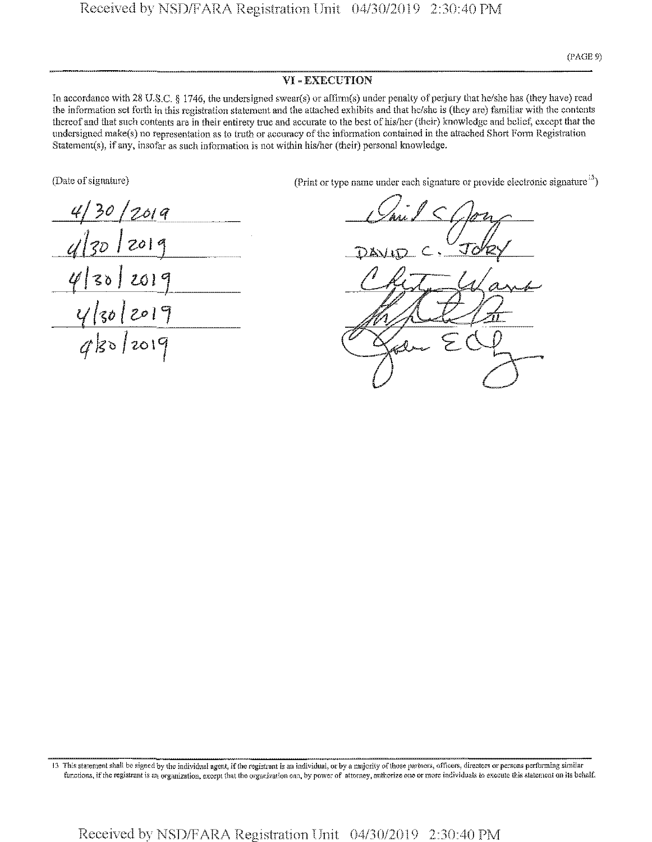#### **VI** - EXECUTION

In accordance with 28 U.S.C. § 1746, the undersigned swear(s) or affirm(s) under penalty of perjury that he/she has (they have) read the information set forth in this registration statement and the attached exhibits and that he/she is (they are) familiar with the contents thereof and that such contents are in their entirety true and accurate to the best of his/her (their) knowledge and belief, except that the undersigned make(s) no representation as to truth or accuracy of the information contained in the attached Short Form Registration Statements), if any, insofar as such information is not within his/her (their) personal knowledge.

(Date of signature)

*\0 'U I Z<>\*  $4|30|2019$ *l\*>n j*<sub>zo</sub>*,* 

(Print or type name under each signature or provide electronic signature $^{13}$ )

c £

<sup>13</sup> This statement shall be signed by the individual agent, if the registrant is an individual, or by a majority of those partners, officers, directors or persons performing similar functions, if the registrant is an organization, except that the organization can, by power of attorney, authorize one or more individuals to execute this statement on its behalf.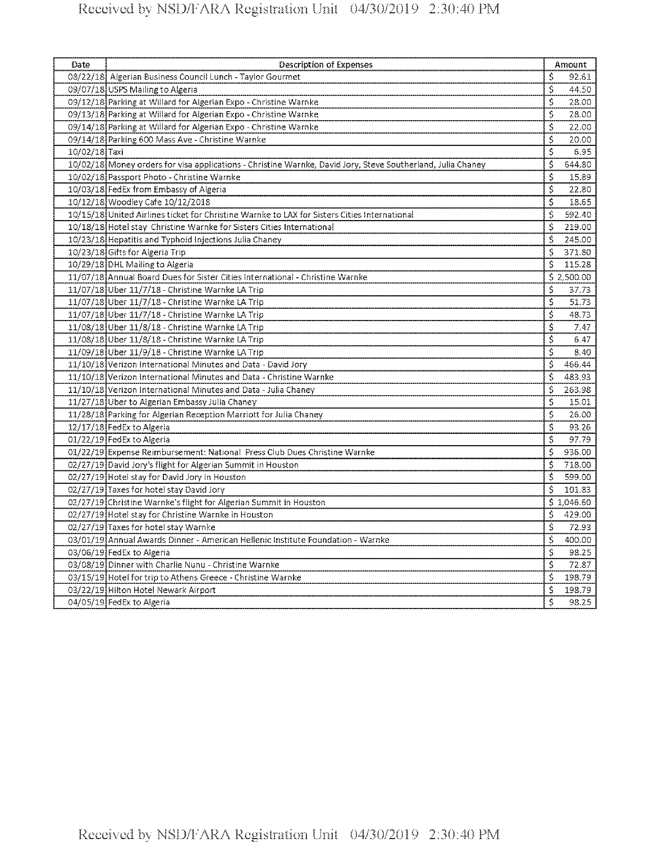| Date            | <b>Description of Expenses</b>                                                                              |                                     | Amount                 |
|-----------------|-------------------------------------------------------------------------------------------------------------|-------------------------------------|------------------------|
|                 | 08/22/18 Algerian Business Council Lunch - Taylor Gourmet                                                   | \$                                  | 92.61                  |
|                 | 09/07/18 USPS Mailing to Algeria                                                                            | \$                                  | 44.50                  |
|                 | 09/12/18 Parking at Willard for Algerian Expo - Christine Warnke                                            | \$                                  | 28.00                  |
|                 | 09/13/18 Parking at Willard for Algerian Expo - Christine Warnke                                            | $\overline{\mathsf{S}}$             | 28.00                  |
|                 | 09/14/18 Parking at Willard for Algerian Expo - Christine Warnke                                            | \$                                  | 22.00                  |
|                 | 09/14/18 Parking 600 Mass Ave - Christine Warnke                                                            | \$                                  | 20.00                  |
| $10/02/18$ Taxi |                                                                                                             | \$                                  | 6.95                   |
|                 | 10/02/18 Money orders for visa applications - Christine Warnke, David Jory, Steve Southerland, Julia Chaney | \$                                  | 644.80                 |
|                 | 10/02/18 Passport Photo - Christine Warnke                                                                  | \$                                  | 15.89                  |
|                 | 10/03/18 FedEx from Embassy of Algeria                                                                      | \$                                  | 22.80                  |
|                 | 10/12/18 Woodley Cafe 10/12/2018                                                                            | $\overline{\mathsf{s}}$             | 18.65                  |
|                 | 10/15/18 United Airlines ticket for Christine Warnke to LAX for Sisters Cities International                | \$                                  | 592.40                 |
|                 | 10/18/18 Hotel stay Christine Warnke for Sisters Cities International                                       | \$                                  | 219.00                 |
|                 | 10/23/18 Hepatitis and Typhoid Injections Julia Chaney                                                      | \$                                  | 245.00                 |
|                 | 10/23/18 Gifts for Algeria Trip                                                                             | \$                                  | 371.80                 |
|                 | 10/29/18 DHL Mailing to Algeria                                                                             | \$                                  | 115.28                 |
|                 | 11/07/18 Annual Board Dues for Sister Cities International - Christine Warnke                               |                                     | $\frac{1}{5}$ 2,500.00 |
|                 | 11/07/18 Uber 11/7/18 - Christine Warnke LA Trip                                                            | \$                                  | 37.73                  |
|                 | 11/07/18 Uber 11/7/18 - Christine Warnke LA Trip                                                            | \$                                  | 51.73                  |
|                 | 11/07/18 Uber 11/7/18 - Christine Warnke LA Trip                                                            | \$                                  | 48.73                  |
|                 | 11/08/18 Uber 11/8/18 - Christine Warnke LA Trip                                                            | \$                                  | 7.47                   |
|                 | 11/08/18 Uber 11/8/18 - Christine Warnke LA Trip                                                            | \$                                  | 6.47                   |
|                 | 11/09/18 Uber 11/9/18 - Christine Warnke LA Trip                                                            | $\overline{\boldsymbol{\varsigma}}$ | 8.40                   |
|                 | 11/10/18 Verizon International Minutes and Data - David Jory                                                | \$                                  | 466,44                 |
|                 | 11/10/18 Verizon International Minutes and Data - Christine Warnke                                          | \$                                  | 483.93                 |
|                 | 11/10/18 Verizon International Minutes and Data - Julia Chaney                                              | \$                                  | 263.98                 |
|                 | 11/27/18 Uber to Algerian Embassy Julia Chaney                                                              | $\overline{\mathsf{S}}$             | 15.01                  |
|                 | 11/28/18 Parking for Algerian Reception Marriott for Julia Chaney                                           | \$                                  | 26.00                  |
|                 | 12/17/18 FedEx to Algeria                                                                                   | $\overline{\boldsymbol{\varsigma}}$ | 93.26                  |
|                 | 01/22/19 FedEx to Algeria                                                                                   | \$                                  | 97.79                  |
|                 | 01/22/19 Expense Reimbursement: National Press Club Dues Christine Warnke                                   | $\overline{\mathfrak{s}}$           | 936.00                 |
|                 | 02/27/19 David Jory's flight for Algerian Summit in Houston                                                 | Ś                                   | 718.00                 |
|                 | 02/27/19 Hotel stay for David Jory in Houston                                                               | \$                                  | 599.00                 |
|                 | 02/27/19 Taxes for hotel stay David Jory                                                                    | \$                                  | 101.83                 |
|                 | 02/27/19 Christine Warnke's flight for Algerian Summit in Houston                                           |                                     | \$1,046.60             |
|                 | 02/27/19 Hotel stay for Christine Warnke in Houston                                                         | \$                                  | 429.00                 |
|                 | 02/27/19 Taxes for hotel stay Warnke                                                                        | $\overline{\boldsymbol{\zeta}}$     | 72.93                  |
|                 | 03/01/19 Annual Awards Dinner - American Hellenic Institute Foundation - Warnke                             | $\overline{\boldsymbol{\varsigma}}$ | 400.00                 |
|                 | 03/06/19 FedEx to Algeria                                                                                   | \$                                  | 98.25                  |
|                 | 03/08/19 Dinner with Charlie Nunu - Christine Warnke                                                        | \$                                  | 72.87                  |
|                 | 03/15/19 Hotel for trip to Athens Greece - Christine Warnke                                                 | \$                                  | 198.79                 |
|                 | 03/22/19 Hilton Hotel Newark Airport                                                                        | \$                                  | 198.79                 |
|                 | 04/05/19 FedEx to Algeria                                                                                   | \$                                  | 98.25                  |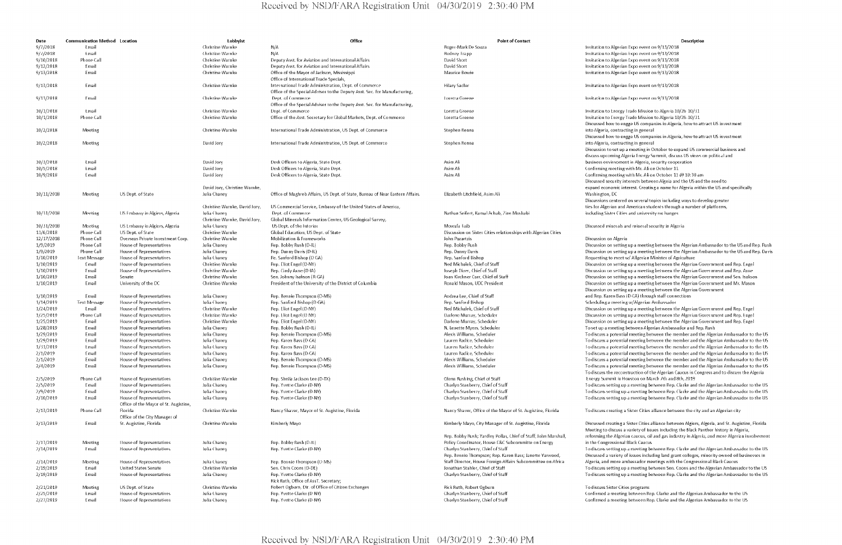| Christine Warnke<br>9/7/2018<br>Email<br>N/A<br>Roger-Mark De Souza<br>9///2018<br>Email<br>Christine Warnke<br>N/A<br>Rodney Trapp<br>9/10/2018<br>Phone Call<br>Christine Warnke<br>David Short<br>Deputy Asst. for Aviation and International Affairs<br>David Short<br>9/12/2018<br>Email<br>Christine Warnke<br>Deputy Asst. for Aviation and International Affairs<br>Email<br>Christine Warnke<br>Maurice Bowie<br>9/13/2018<br>Office of the Mayor of Jackson, Mississippi<br>Office of International Trade Specials,<br>International Trade Administration, Dept. of Commerce<br><b>Hilary Sadler</b><br>9/13/2018<br>Email<br>Christine Warnke<br>Office of the Special Adviser to the Deputy Asst. Sec. for Manufacturing,<br>Christine Warnke<br>Dept. of Commerce<br>9/13/2018<br>Fmail<br><b>Toretta Greene</b><br>Office of the Special Adviser to the Deputy Asst. Sec. for Manufacturing,<br>10/1/2018<br><b>Lmail</b><br>Christine Warnke<br>Dept. of Commerce<br>Loretta Greene<br>10/1/2018<br><b>Phone Call</b><br>Christine Warnke<br>Office of the Asst. Secretary for Global Markets, Dept. of Commerce<br>Loretta Greene<br>10/2/2018<br>Christine Warnke<br>International Trade Administration, US Dept. of Commerce<br>Stephen Renna<br>Meeting<br>10/2/2018<br>David Jory<br>International Trade Administration, US Dept. of Commerce<br>Meeting<br>Stephen Renna<br>10/3/2018<br><b>Lmail</b><br>David Jory<br>Desk Officers to Algeria, State Dept.<br>Asim Ali<br><b>Lmail</b><br>10/5/2018<br>David Jory<br>Desk Officers to Algeria, State Dept.<br>Asim Ali<br><b>Email</b><br>10/9/2018<br>Desk Officers to Algeria, State Dept.<br>Asim Ali<br>David Jory<br>David Jory, Christine Warnke,<br>10/11/2018<br>US Dept. of State<br>Julia Chaney<br>Office of Maghreb Affairs, US Dept. of State, Bureau of Near Eastern Affairs.<br>Elizabeth Litchfield, Asim Ali<br>Meeting<br>US Commercial Service, Embassy of the United States of America,<br>Christine Warnke, David Jory,<br>10/31/2018<br>US Embassy in Algiers, Algeria<br>-lulia Chaney<br>Dept. of Commerce<br>Nathan Seifert, Kamal Achab, Zine Moshabi<br>Meeting<br>Global Minerals Information Center, US Geological Survey,<br>Christine Warnke, David Jory,<br>10/31/2018<br>US Embassy in Algiers, Algeria<br>Julia Chaney<br>US Dept. of the Interior<br>Mowafa Taib<br>Meeting<br>11/6/2018<br>Phone Call<br>US Dept. of State<br>Christine Warnke<br>Global Education, US Dept. of State<br>Discussion on Sister Cities relationships with Algerian Cities<br>12/17/2018<br>Phone Call<br>Overseas Private Investment Corp.<br>Christine Warnke<br>Mobilization & Frameworks<br>John Pazartzis<br>1/9/2019<br>Phone Call<br>House of Representatives<br>Julia Chaney<br>Rep. Bobby Rush (D-IL)<br>Rep. Bobby Rush<br>1/9/2019<br>Phone Call<br>Julia Chaney<br>House of Representatives<br>Rep. Danny Davis (D-IL)<br>Rep. Danny Davis<br>1/10/2019<br><b>Text Message</b><br>House of Representatives<br>Julia Chaney<br>Re. Sanford Bishop (D GA)<br>Rep. Sanford Bishop<br>1/10/2019<br>House of Representatives<br>Ned Michalek, Chief of Staff<br>Email<br>Christine Warnke<br>Rep. Eliot Engel (D-NY)<br>1/10/2019<br>House of Representatives<br>Christine Warnke<br>Rep. Cindy Axne (D-IA)<br>loseph Diver, Chief of Staff<br>Fmail<br>1/10/2019<br>Christine Warnke<br>Email<br>Senate<br>Sen. Johnny Isakson (R-GA)<br>Joan Kirchner Carr, Chief of Staff<br>Email<br>President of the University of the District of Columbia<br>Ronald Mason, UDC President<br>1/10/2019<br>University of the DC<br>Christine Warnke<br>1/10/2019<br>Andrea Lee, Chief of Staff<br>Email<br>House of Representatives<br>Julia Chaney<br>Rep. Bennie Thompson (D-MS)<br>1/14/2019<br>Text Message<br>House of Representatives<br>Julia Chaney<br>Rep. Sanford Bishop (D-GA)<br>Rep. Sanford Bishop<br>1/24/2019<br>Email<br>Ned Michalek, Chief of Staff<br>House of Representatives<br>Christine Warnke<br>Rep. Eliot Engel (D-NY)<br>1/25/2019<br>Phone Call<br>House of Representatives<br>Christine Warnke<br>Rep. Eliot Engel (D NY)<br>Darlene Murray, Scheduler<br>1/25/2019<br>Email<br>House of Representatives<br>Christine Warnke<br>Rep. Eliot Engel (D-NY)<br>Darlene Murray, Scheduler<br>1/28/2019<br>House of Representatives<br>Rep. Bobby Rush (D-IL)<br>N. Lenette Myers, Scheduler<br>Email<br>Julia Chaney<br>1/29/2019<br>Email<br>House of Representatives<br>Julia Chaney<br>Rep. Bennie Thompson (D-MS)<br>Alexis Williams, Scheduler<br>1/29/2019<br>House of Representatives<br>Lauren Radice, Scheduler<br>Email<br>Julia Chaney<br>Rep. Karen Bass (D-CA)<br>1/31/2019<br><b>Lmail</b><br>House of Representatives<br>Julia Chaney<br>Rep. Karen Bass (D CA)<br>Lauren Radice, Scheduler<br>Julia Chaney<br>Rep. Karen Bass (D-CA)<br>Lauren Radice, Scheduler<br>2/1/2019<br>Email<br>House of Representatives<br>Alexis Williams, Scheduler<br>2/1/2019<br>Email<br>House of Representatives<br>Julia Chaney<br>Rep. Bennie Thompson (D-MS)<br>2/4/2019<br>Email<br>House of Representatives<br>Julia Chaney<br>Rep. Bennie Thompson (D-MS)<br>Alexis Williams, Scheduler<br>2/5/2019<br>Phone Call<br>House of Representatives<br>Christine Warnke<br>Rep. Sheila Jackson Lee (D-TX)<br>Glenn Rushing, Chief of Staff<br>2/5/2019<br>Email<br>House of Representatives<br>Julia Chaney<br>Rep. Yvette Clarke (D-NY)<br>Charlyn Stanberry, Chief of Staff<br>2/9/2019<br>f mail<br>House of Representatives<br>Julia Chaney<br>Rep. Yvette Clarke (D-NY)<br>Charlyn Stanberry, Chief of Staff<br>2/10/2019<br><b>Lmail</b><br>House of Representatives<br>Julia Chaney<br>Rep. Yvette Clarke (D-NY)<br>Charlyn Stanberry, Chief of Staff<br>Office of the Mayor of St. Augistine,<br>2/13/2019<br>Phone Call<br>Florida<br>Christine Warnke<br>Nancy Shaver, Mayor of St. Augistine, Florida<br>Nancy Shaver, Office of the Mayor of St. Augistine, Florida<br>Office of the City Manager of<br>2/13/2019<br>St. Augistine, Florida<br>Christine Warnke<br>Kimberly Mayo<br>Kimberly Mayo, City Manager of St. Augistine, Florida<br>Email<br>Rep. Bobby Rush; Yardley Pollas, Chief of Staff; John Marshall,<br>Policy Coordinator, House E&C Subcommitte on Energy<br>2/13/2019<br><b>Meeting</b><br>House of Representatives<br>Julia Chaney<br>Rep. Bobby Rush (D-IL)<br>Charlyn Stanberry, Chief of Staff<br>2/14/2019<br>Fmail<br>House of Representatives<br>-lulia Chaney<br>Rep. Yvette Clarke (D-NY)<br>Rep. Bennie Thompson; Rep. Karen Bass; Janette Yarwood,<br>Staff Director, House Foreign Affairs Subcommittee on Africa<br>2/14/2019<br>House of Representatives<br>Julia Chaney<br>Rep. Bennie Thompson (D MS)<br>Meeting<br>2/19/2019<br>Email<br>United States Senate<br>Christine Warnke<br>Sen. Chris Coons (D-DE)<br>Jonathan Stahler, Chief of Staff<br>Rep. Yvette Clarke (D-NY)<br>2/19/2019<br>Email<br>House of Representatives<br>Julia Chaney<br>Charlyn Stanberry, Chief of Staff<br>Rick Ruth, Office of AssT. Secretary;<br>Robert Ogburn, Dir. of Office of Citizen Exchanges<br>2/21/2019<br>Rick Ruth, Robert Ogburn<br>US Dept. of State<br>Christine Warnke<br>Meeting<br>2/25/2019<br>House of Representatives<br>Julia Chaney<br>Charlyn Stanberry, Chief of Staff<br>Email<br>Rep. Yvette Clarke (D NY)<br>2/27/2019<br><b>House of Representatives</b><br>Julia Chaney<br>Rep. Yvette Clarke (D-NY)<br>Charlyn Stanberry, Chief of Staff<br>Email | Date | <b>Communication Method</b> Location | Lobbyist | Office | <b>Point of Contact</b> |                      |
|-------------------------------------------------------------------------------------------------------------------------------------------------------------------------------------------------------------------------------------------------------------------------------------------------------------------------------------------------------------------------------------------------------------------------------------------------------------------------------------------------------------------------------------------------------------------------------------------------------------------------------------------------------------------------------------------------------------------------------------------------------------------------------------------------------------------------------------------------------------------------------------------------------------------------------------------------------------------------------------------------------------------------------------------------------------------------------------------------------------------------------------------------------------------------------------------------------------------------------------------------------------------------------------------------------------------------------------------------------------------------------------------------------------------------------------------------------------------------------------------------------------------------------------------------------------------------------------------------------------------------------------------------------------------------------------------------------------------------------------------------------------------------------------------------------------------------------------------------------------------------------------------------------------------------------------------------------------------------------------------------------------------------------------------------------------------------------------------------------------------------------------------------------------------------------------------------------------------------------------------------------------------------------------------------------------------------------------------------------------------------------------------------------------------------------------------------------------------------------------------------------------------------------------------------------------------------------------------------------------------------------------------------------------------------------------------------------------------------------------------------------------------------------------------------------------------------------------------------------------------------------------------------------------------------------------------------------------------------------------------------------------------------------------------------------------------------------------------------------------------------------------------------------------------------------------------------------------------------------------------------------------------------------------------------------------------------------------------------------------------------------------------------------------------------------------------------------------------------------------------------------------------------------------------------------------------------------------------------------------------------------------------------------------------------------------------------------------------------------------------------------------------------------------------------------------------------------------------------------------------------------------------------------------------------------------------------------------------------------------------------------------------------------------------------------------------------------------------------------------------------------------------------------------------------------------------------------------------------------------------------------------------------------------------------------------------------------------------------------------------------------------------------------------------------------------------------------------------------------------------------------------------------------------------------------------------------------------------------------------------------------------------------------------------------------------------------------------------------------------------------------------------------------------------------------------------------------------------------------------------------------------------------------------------------------------------------------------------------------------------------------------------------------------------------------------------------------------------------------------------------------------------------------------------------------------------------------------------------------------------------------------------------------------------------------------------------------------------------------------------------------------------------------------------------------------------------------------------------------------------------------------------------------------------------------------------------------------------------------------------------------------------------------------------------------------------------------------------------------------------------------------------------------------------------------------------------------------------------------------------------------------------------------------------------------------------------------------------------------------------------------------------------------------------------------------------------------------------------------------------------------------------------------------------------------------------------------------------------------------------------------------------------------------------------------------------------------------------------------------------------------------------------------------------------------------------------------------------------------------------------------------------------------------------------------------------------------------------------------------------------------------------------------------------------------------------------------------------------------------------------------------------------------------------------------------------------------------------------------------------------------------------------------------------------------------------------------------------------------------------------------------------------------------------------------------------------------------------------------------------------------------------------------------------------------------------------------------------------------------------------------------------------------------------------------------------------------------------------------------------------------------------------------------------------------------------------------------------------------------------------------------------------------|------|--------------------------------------|----------|--------|-------------------------|----------------------|
|                                                                                                                                                                                                                                                                                                                                                                                                                                                                                                                                                                                                                                                                                                                                                                                                                                                                                                                                                                                                                                                                                                                                                                                                                                                                                                                                                                                                                                                                                                                                                                                                                                                                                                                                                                                                                                                                                                                                                                                                                                                                                                                                                                                                                                                                                                                                                                                                                                                                                                                                                                                                                                                                                                                                                                                                                                                                                                                                                                                                                                                                                                                                                                                                                                                                                                                                                                                                                                                                                                                                                                                                                                                                                                                                                                                                                                                                                                                                                                                                                                                                                                                                                                                                                                                                                                                                                                                                                                                                                                                                                                                                                                                                                                                                                                                                                                                                                                                                                                                                                                                                                                                                                                                                                                                                                                                                                                                                                                                                                                                                                                                                                                                                                                                                                                                                                                                                                                                                                                                                                                                                                                                                                                                                                                                                                                                                                                                                                                                                                                                                                                                                                                                                                                                                                                                                                                                                                                                                                                                                                                                                                                                                                                                                                                                                                                                                                                                                                                                                                                                               |      |                                      |          |        |                         | Invitation to Alg    |
|                                                                                                                                                                                                                                                                                                                                                                                                                                                                                                                                                                                                                                                                                                                                                                                                                                                                                                                                                                                                                                                                                                                                                                                                                                                                                                                                                                                                                                                                                                                                                                                                                                                                                                                                                                                                                                                                                                                                                                                                                                                                                                                                                                                                                                                                                                                                                                                                                                                                                                                                                                                                                                                                                                                                                                                                                                                                                                                                                                                                                                                                                                                                                                                                                                                                                                                                                                                                                                                                                                                                                                                                                                                                                                                                                                                                                                                                                                                                                                                                                                                                                                                                                                                                                                                                                                                                                                                                                                                                                                                                                                                                                                                                                                                                                                                                                                                                                                                                                                                                                                                                                                                                                                                                                                                                                                                                                                                                                                                                                                                                                                                                                                                                                                                                                                                                                                                                                                                                                                                                                                                                                                                                                                                                                                                                                                                                                                                                                                                                                                                                                                                                                                                                                                                                                                                                                                                                                                                                                                                                                                                                                                                                                                                                                                                                                                                                                                                                                                                                                                                               |      |                                      |          |        |                         | Invitation to Alg    |
|                                                                                                                                                                                                                                                                                                                                                                                                                                                                                                                                                                                                                                                                                                                                                                                                                                                                                                                                                                                                                                                                                                                                                                                                                                                                                                                                                                                                                                                                                                                                                                                                                                                                                                                                                                                                                                                                                                                                                                                                                                                                                                                                                                                                                                                                                                                                                                                                                                                                                                                                                                                                                                                                                                                                                                                                                                                                                                                                                                                                                                                                                                                                                                                                                                                                                                                                                                                                                                                                                                                                                                                                                                                                                                                                                                                                                                                                                                                                                                                                                                                                                                                                                                                                                                                                                                                                                                                                                                                                                                                                                                                                                                                                                                                                                                                                                                                                                                                                                                                                                                                                                                                                                                                                                                                                                                                                                                                                                                                                                                                                                                                                                                                                                                                                                                                                                                                                                                                                                                                                                                                                                                                                                                                                                                                                                                                                                                                                                                                                                                                                                                                                                                                                                                                                                                                                                                                                                                                                                                                                                                                                                                                                                                                                                                                                                                                                                                                                                                                                                                                               |      |                                      |          |        |                         |                      |
|                                                                                                                                                                                                                                                                                                                                                                                                                                                                                                                                                                                                                                                                                                                                                                                                                                                                                                                                                                                                                                                                                                                                                                                                                                                                                                                                                                                                                                                                                                                                                                                                                                                                                                                                                                                                                                                                                                                                                                                                                                                                                                                                                                                                                                                                                                                                                                                                                                                                                                                                                                                                                                                                                                                                                                                                                                                                                                                                                                                                                                                                                                                                                                                                                                                                                                                                                                                                                                                                                                                                                                                                                                                                                                                                                                                                                                                                                                                                                                                                                                                                                                                                                                                                                                                                                                                                                                                                                                                                                                                                                                                                                                                                                                                                                                                                                                                                                                                                                                                                                                                                                                                                                                                                                                                                                                                                                                                                                                                                                                                                                                                                                                                                                                                                                                                                                                                                                                                                                                                                                                                                                                                                                                                                                                                                                                                                                                                                                                                                                                                                                                                                                                                                                                                                                                                                                                                                                                                                                                                                                                                                                                                                                                                                                                                                                                                                                                                                                                                                                                                               |      |                                      |          |        |                         | Invitation to Alg    |
|                                                                                                                                                                                                                                                                                                                                                                                                                                                                                                                                                                                                                                                                                                                                                                                                                                                                                                                                                                                                                                                                                                                                                                                                                                                                                                                                                                                                                                                                                                                                                                                                                                                                                                                                                                                                                                                                                                                                                                                                                                                                                                                                                                                                                                                                                                                                                                                                                                                                                                                                                                                                                                                                                                                                                                                                                                                                                                                                                                                                                                                                                                                                                                                                                                                                                                                                                                                                                                                                                                                                                                                                                                                                                                                                                                                                                                                                                                                                                                                                                                                                                                                                                                                                                                                                                                                                                                                                                                                                                                                                                                                                                                                                                                                                                                                                                                                                                                                                                                                                                                                                                                                                                                                                                                                                                                                                                                                                                                                                                                                                                                                                                                                                                                                                                                                                                                                                                                                                                                                                                                                                                                                                                                                                                                                                                                                                                                                                                                                                                                                                                                                                                                                                                                                                                                                                                                                                                                                                                                                                                                                                                                                                                                                                                                                                                                                                                                                                                                                                                                                               |      |                                      |          |        |                         | Invitation to Alg    |
|                                                                                                                                                                                                                                                                                                                                                                                                                                                                                                                                                                                                                                                                                                                                                                                                                                                                                                                                                                                                                                                                                                                                                                                                                                                                                                                                                                                                                                                                                                                                                                                                                                                                                                                                                                                                                                                                                                                                                                                                                                                                                                                                                                                                                                                                                                                                                                                                                                                                                                                                                                                                                                                                                                                                                                                                                                                                                                                                                                                                                                                                                                                                                                                                                                                                                                                                                                                                                                                                                                                                                                                                                                                                                                                                                                                                                                                                                                                                                                                                                                                                                                                                                                                                                                                                                                                                                                                                                                                                                                                                                                                                                                                                                                                                                                                                                                                                                                                                                                                                                                                                                                                                                                                                                                                                                                                                                                                                                                                                                                                                                                                                                                                                                                                                                                                                                                                                                                                                                                                                                                                                                                                                                                                                                                                                                                                                                                                                                                                                                                                                                                                                                                                                                                                                                                                                                                                                                                                                                                                                                                                                                                                                                                                                                                                                                                                                                                                                                                                                                                                               |      |                                      |          |        |                         | Invitation to Alg    |
|                                                                                                                                                                                                                                                                                                                                                                                                                                                                                                                                                                                                                                                                                                                                                                                                                                                                                                                                                                                                                                                                                                                                                                                                                                                                                                                                                                                                                                                                                                                                                                                                                                                                                                                                                                                                                                                                                                                                                                                                                                                                                                                                                                                                                                                                                                                                                                                                                                                                                                                                                                                                                                                                                                                                                                                                                                                                                                                                                                                                                                                                                                                                                                                                                                                                                                                                                                                                                                                                                                                                                                                                                                                                                                                                                                                                                                                                                                                                                                                                                                                                                                                                                                                                                                                                                                                                                                                                                                                                                                                                                                                                                                                                                                                                                                                                                                                                                                                                                                                                                                                                                                                                                                                                                                                                                                                                                                                                                                                                                                                                                                                                                                                                                                                                                                                                                                                                                                                                                                                                                                                                                                                                                                                                                                                                                                                                                                                                                                                                                                                                                                                                                                                                                                                                                                                                                                                                                                                                                                                                                                                                                                                                                                                                                                                                                                                                                                                                                                                                                                                               |      |                                      |          |        |                         |                      |
|                                                                                                                                                                                                                                                                                                                                                                                                                                                                                                                                                                                                                                                                                                                                                                                                                                                                                                                                                                                                                                                                                                                                                                                                                                                                                                                                                                                                                                                                                                                                                                                                                                                                                                                                                                                                                                                                                                                                                                                                                                                                                                                                                                                                                                                                                                                                                                                                                                                                                                                                                                                                                                                                                                                                                                                                                                                                                                                                                                                                                                                                                                                                                                                                                                                                                                                                                                                                                                                                                                                                                                                                                                                                                                                                                                                                                                                                                                                                                                                                                                                                                                                                                                                                                                                                                                                                                                                                                                                                                                                                                                                                                                                                                                                                                                                                                                                                                                                                                                                                                                                                                                                                                                                                                                                                                                                                                                                                                                                                                                                                                                                                                                                                                                                                                                                                                                                                                                                                                                                                                                                                                                                                                                                                                                                                                                                                                                                                                                                                                                                                                                                                                                                                                                                                                                                                                                                                                                                                                                                                                                                                                                                                                                                                                                                                                                                                                                                                                                                                                                                               |      |                                      |          |        |                         | Invitation to Alg    |
|                                                                                                                                                                                                                                                                                                                                                                                                                                                                                                                                                                                                                                                                                                                                                                                                                                                                                                                                                                                                                                                                                                                                                                                                                                                                                                                                                                                                                                                                                                                                                                                                                                                                                                                                                                                                                                                                                                                                                                                                                                                                                                                                                                                                                                                                                                                                                                                                                                                                                                                                                                                                                                                                                                                                                                                                                                                                                                                                                                                                                                                                                                                                                                                                                                                                                                                                                                                                                                                                                                                                                                                                                                                                                                                                                                                                                                                                                                                                                                                                                                                                                                                                                                                                                                                                                                                                                                                                                                                                                                                                                                                                                                                                                                                                                                                                                                                                                                                                                                                                                                                                                                                                                                                                                                                                                                                                                                                                                                                                                                                                                                                                                                                                                                                                                                                                                                                                                                                                                                                                                                                                                                                                                                                                                                                                                                                                                                                                                                                                                                                                                                                                                                                                                                                                                                                                                                                                                                                                                                                                                                                                                                                                                                                                                                                                                                                                                                                                                                                                                                                               |      |                                      |          |        |                         |                      |
|                                                                                                                                                                                                                                                                                                                                                                                                                                                                                                                                                                                                                                                                                                                                                                                                                                                                                                                                                                                                                                                                                                                                                                                                                                                                                                                                                                                                                                                                                                                                                                                                                                                                                                                                                                                                                                                                                                                                                                                                                                                                                                                                                                                                                                                                                                                                                                                                                                                                                                                                                                                                                                                                                                                                                                                                                                                                                                                                                                                                                                                                                                                                                                                                                                                                                                                                                                                                                                                                                                                                                                                                                                                                                                                                                                                                                                                                                                                                                                                                                                                                                                                                                                                                                                                                                                                                                                                                                                                                                                                                                                                                                                                                                                                                                                                                                                                                                                                                                                                                                                                                                                                                                                                                                                                                                                                                                                                                                                                                                                                                                                                                                                                                                                                                                                                                                                                                                                                                                                                                                                                                                                                                                                                                                                                                                                                                                                                                                                                                                                                                                                                                                                                                                                                                                                                                                                                                                                                                                                                                                                                                                                                                                                                                                                                                                                                                                                                                                                                                                                                               |      |                                      |          |        |                         |                      |
|                                                                                                                                                                                                                                                                                                                                                                                                                                                                                                                                                                                                                                                                                                                                                                                                                                                                                                                                                                                                                                                                                                                                                                                                                                                                                                                                                                                                                                                                                                                                                                                                                                                                                                                                                                                                                                                                                                                                                                                                                                                                                                                                                                                                                                                                                                                                                                                                                                                                                                                                                                                                                                                                                                                                                                                                                                                                                                                                                                                                                                                                                                                                                                                                                                                                                                                                                                                                                                                                                                                                                                                                                                                                                                                                                                                                                                                                                                                                                                                                                                                                                                                                                                                                                                                                                                                                                                                                                                                                                                                                                                                                                                                                                                                                                                                                                                                                                                                                                                                                                                                                                                                                                                                                                                                                                                                                                                                                                                                                                                                                                                                                                                                                                                                                                                                                                                                                                                                                                                                                                                                                                                                                                                                                                                                                                                                                                                                                                                                                                                                                                                                                                                                                                                                                                                                                                                                                                                                                                                                                                                                                                                                                                                                                                                                                                                                                                                                                                                                                                                                               |      |                                      |          |        |                         | Invitation to Alg    |
|                                                                                                                                                                                                                                                                                                                                                                                                                                                                                                                                                                                                                                                                                                                                                                                                                                                                                                                                                                                                                                                                                                                                                                                                                                                                                                                                                                                                                                                                                                                                                                                                                                                                                                                                                                                                                                                                                                                                                                                                                                                                                                                                                                                                                                                                                                                                                                                                                                                                                                                                                                                                                                                                                                                                                                                                                                                                                                                                                                                                                                                                                                                                                                                                                                                                                                                                                                                                                                                                                                                                                                                                                                                                                                                                                                                                                                                                                                                                                                                                                                                                                                                                                                                                                                                                                                                                                                                                                                                                                                                                                                                                                                                                                                                                                                                                                                                                                                                                                                                                                                                                                                                                                                                                                                                                                                                                                                                                                                                                                                                                                                                                                                                                                                                                                                                                                                                                                                                                                                                                                                                                                                                                                                                                                                                                                                                                                                                                                                                                                                                                                                                                                                                                                                                                                                                                                                                                                                                                                                                                                                                                                                                                                                                                                                                                                                                                                                                                                                                                                                                               |      |                                      |          |        |                         |                      |
|                                                                                                                                                                                                                                                                                                                                                                                                                                                                                                                                                                                                                                                                                                                                                                                                                                                                                                                                                                                                                                                                                                                                                                                                                                                                                                                                                                                                                                                                                                                                                                                                                                                                                                                                                                                                                                                                                                                                                                                                                                                                                                                                                                                                                                                                                                                                                                                                                                                                                                                                                                                                                                                                                                                                                                                                                                                                                                                                                                                                                                                                                                                                                                                                                                                                                                                                                                                                                                                                                                                                                                                                                                                                                                                                                                                                                                                                                                                                                                                                                                                                                                                                                                                                                                                                                                                                                                                                                                                                                                                                                                                                                                                                                                                                                                                                                                                                                                                                                                                                                                                                                                                                                                                                                                                                                                                                                                                                                                                                                                                                                                                                                                                                                                                                                                                                                                                                                                                                                                                                                                                                                                                                                                                                                                                                                                                                                                                                                                                                                                                                                                                                                                                                                                                                                                                                                                                                                                                                                                                                                                                                                                                                                                                                                                                                                                                                                                                                                                                                                                                               |      |                                      |          |        |                         | Invitation to Enc    |
|                                                                                                                                                                                                                                                                                                                                                                                                                                                                                                                                                                                                                                                                                                                                                                                                                                                                                                                                                                                                                                                                                                                                                                                                                                                                                                                                                                                                                                                                                                                                                                                                                                                                                                                                                                                                                                                                                                                                                                                                                                                                                                                                                                                                                                                                                                                                                                                                                                                                                                                                                                                                                                                                                                                                                                                                                                                                                                                                                                                                                                                                                                                                                                                                                                                                                                                                                                                                                                                                                                                                                                                                                                                                                                                                                                                                                                                                                                                                                                                                                                                                                                                                                                                                                                                                                                                                                                                                                                                                                                                                                                                                                                                                                                                                                                                                                                                                                                                                                                                                                                                                                                                                                                                                                                                                                                                                                                                                                                                                                                                                                                                                                                                                                                                                                                                                                                                                                                                                                                                                                                                                                                                                                                                                                                                                                                                                                                                                                                                                                                                                                                                                                                                                                                                                                                                                                                                                                                                                                                                                                                                                                                                                                                                                                                                                                                                                                                                                                                                                                                                               |      |                                      |          |        |                         | Invitation to Ene    |
|                                                                                                                                                                                                                                                                                                                                                                                                                                                                                                                                                                                                                                                                                                                                                                                                                                                                                                                                                                                                                                                                                                                                                                                                                                                                                                                                                                                                                                                                                                                                                                                                                                                                                                                                                                                                                                                                                                                                                                                                                                                                                                                                                                                                                                                                                                                                                                                                                                                                                                                                                                                                                                                                                                                                                                                                                                                                                                                                                                                                                                                                                                                                                                                                                                                                                                                                                                                                                                                                                                                                                                                                                                                                                                                                                                                                                                                                                                                                                                                                                                                                                                                                                                                                                                                                                                                                                                                                                                                                                                                                                                                                                                                                                                                                                                                                                                                                                                                                                                                                                                                                                                                                                                                                                                                                                                                                                                                                                                                                                                                                                                                                                                                                                                                                                                                                                                                                                                                                                                                                                                                                                                                                                                                                                                                                                                                                                                                                                                                                                                                                                                                                                                                                                                                                                                                                                                                                                                                                                                                                                                                                                                                                                                                                                                                                                                                                                                                                                                                                                                                               |      |                                      |          |        |                         | Discussed how t      |
|                                                                                                                                                                                                                                                                                                                                                                                                                                                                                                                                                                                                                                                                                                                                                                                                                                                                                                                                                                                                                                                                                                                                                                                                                                                                                                                                                                                                                                                                                                                                                                                                                                                                                                                                                                                                                                                                                                                                                                                                                                                                                                                                                                                                                                                                                                                                                                                                                                                                                                                                                                                                                                                                                                                                                                                                                                                                                                                                                                                                                                                                                                                                                                                                                                                                                                                                                                                                                                                                                                                                                                                                                                                                                                                                                                                                                                                                                                                                                                                                                                                                                                                                                                                                                                                                                                                                                                                                                                                                                                                                                                                                                                                                                                                                                                                                                                                                                                                                                                                                                                                                                                                                                                                                                                                                                                                                                                                                                                                                                                                                                                                                                                                                                                                                                                                                                                                                                                                                                                                                                                                                                                                                                                                                                                                                                                                                                                                                                                                                                                                                                                                                                                                                                                                                                                                                                                                                                                                                                                                                                                                                                                                                                                                                                                                                                                                                                                                                                                                                                                                               |      |                                      |          |        |                         | into Algeria, con    |
|                                                                                                                                                                                                                                                                                                                                                                                                                                                                                                                                                                                                                                                                                                                                                                                                                                                                                                                                                                                                                                                                                                                                                                                                                                                                                                                                                                                                                                                                                                                                                                                                                                                                                                                                                                                                                                                                                                                                                                                                                                                                                                                                                                                                                                                                                                                                                                                                                                                                                                                                                                                                                                                                                                                                                                                                                                                                                                                                                                                                                                                                                                                                                                                                                                                                                                                                                                                                                                                                                                                                                                                                                                                                                                                                                                                                                                                                                                                                                                                                                                                                                                                                                                                                                                                                                                                                                                                                                                                                                                                                                                                                                                                                                                                                                                                                                                                                                                                                                                                                                                                                                                                                                                                                                                                                                                                                                                                                                                                                                                                                                                                                                                                                                                                                                                                                                                                                                                                                                                                                                                                                                                                                                                                                                                                                                                                                                                                                                                                                                                                                                                                                                                                                                                                                                                                                                                                                                                                                                                                                                                                                                                                                                                                                                                                                                                                                                                                                                                                                                                                               |      |                                      |          |        |                         |                      |
|                                                                                                                                                                                                                                                                                                                                                                                                                                                                                                                                                                                                                                                                                                                                                                                                                                                                                                                                                                                                                                                                                                                                                                                                                                                                                                                                                                                                                                                                                                                                                                                                                                                                                                                                                                                                                                                                                                                                                                                                                                                                                                                                                                                                                                                                                                                                                                                                                                                                                                                                                                                                                                                                                                                                                                                                                                                                                                                                                                                                                                                                                                                                                                                                                                                                                                                                                                                                                                                                                                                                                                                                                                                                                                                                                                                                                                                                                                                                                                                                                                                                                                                                                                                                                                                                                                                                                                                                                                                                                                                                                                                                                                                                                                                                                                                                                                                                                                                                                                                                                                                                                                                                                                                                                                                                                                                                                                                                                                                                                                                                                                                                                                                                                                                                                                                                                                                                                                                                                                                                                                                                                                                                                                                                                                                                                                                                                                                                                                                                                                                                                                                                                                                                                                                                                                                                                                                                                                                                                                                                                                                                                                                                                                                                                                                                                                                                                                                                                                                                                                                               |      |                                      |          |        |                         | Discussed how t      |
|                                                                                                                                                                                                                                                                                                                                                                                                                                                                                                                                                                                                                                                                                                                                                                                                                                                                                                                                                                                                                                                                                                                                                                                                                                                                                                                                                                                                                                                                                                                                                                                                                                                                                                                                                                                                                                                                                                                                                                                                                                                                                                                                                                                                                                                                                                                                                                                                                                                                                                                                                                                                                                                                                                                                                                                                                                                                                                                                                                                                                                                                                                                                                                                                                                                                                                                                                                                                                                                                                                                                                                                                                                                                                                                                                                                                                                                                                                                                                                                                                                                                                                                                                                                                                                                                                                                                                                                                                                                                                                                                                                                                                                                                                                                                                                                                                                                                                                                                                                                                                                                                                                                                                                                                                                                                                                                                                                                                                                                                                                                                                                                                                                                                                                                                                                                                                                                                                                                                                                                                                                                                                                                                                                                                                                                                                                                                                                                                                                                                                                                                                                                                                                                                                                                                                                                                                                                                                                                                                                                                                                                                                                                                                                                                                                                                                                                                                                                                                                                                                                                               |      |                                      |          |        |                         | into Algeria, con    |
|                                                                                                                                                                                                                                                                                                                                                                                                                                                                                                                                                                                                                                                                                                                                                                                                                                                                                                                                                                                                                                                                                                                                                                                                                                                                                                                                                                                                                                                                                                                                                                                                                                                                                                                                                                                                                                                                                                                                                                                                                                                                                                                                                                                                                                                                                                                                                                                                                                                                                                                                                                                                                                                                                                                                                                                                                                                                                                                                                                                                                                                                                                                                                                                                                                                                                                                                                                                                                                                                                                                                                                                                                                                                                                                                                                                                                                                                                                                                                                                                                                                                                                                                                                                                                                                                                                                                                                                                                                                                                                                                                                                                                                                                                                                                                                                                                                                                                                                                                                                                                                                                                                                                                                                                                                                                                                                                                                                                                                                                                                                                                                                                                                                                                                                                                                                                                                                                                                                                                                                                                                                                                                                                                                                                                                                                                                                                                                                                                                                                                                                                                                                                                                                                                                                                                                                                                                                                                                                                                                                                                                                                                                                                                                                                                                                                                                                                                                                                                                                                                                                               |      |                                      |          |        |                         | Discussion to set    |
|                                                                                                                                                                                                                                                                                                                                                                                                                                                                                                                                                                                                                                                                                                                                                                                                                                                                                                                                                                                                                                                                                                                                                                                                                                                                                                                                                                                                                                                                                                                                                                                                                                                                                                                                                                                                                                                                                                                                                                                                                                                                                                                                                                                                                                                                                                                                                                                                                                                                                                                                                                                                                                                                                                                                                                                                                                                                                                                                                                                                                                                                                                                                                                                                                                                                                                                                                                                                                                                                                                                                                                                                                                                                                                                                                                                                                                                                                                                                                                                                                                                                                                                                                                                                                                                                                                                                                                                                                                                                                                                                                                                                                                                                                                                                                                                                                                                                                                                                                                                                                                                                                                                                                                                                                                                                                                                                                                                                                                                                                                                                                                                                                                                                                                                                                                                                                                                                                                                                                                                                                                                                                                                                                                                                                                                                                                                                                                                                                                                                                                                                                                                                                                                                                                                                                                                                                                                                                                                                                                                                                                                                                                                                                                                                                                                                                                                                                                                                                                                                                                                               |      |                                      |          |        |                         | discuss upcomin      |
|                                                                                                                                                                                                                                                                                                                                                                                                                                                                                                                                                                                                                                                                                                                                                                                                                                                                                                                                                                                                                                                                                                                                                                                                                                                                                                                                                                                                                                                                                                                                                                                                                                                                                                                                                                                                                                                                                                                                                                                                                                                                                                                                                                                                                                                                                                                                                                                                                                                                                                                                                                                                                                                                                                                                                                                                                                                                                                                                                                                                                                                                                                                                                                                                                                                                                                                                                                                                                                                                                                                                                                                                                                                                                                                                                                                                                                                                                                                                                                                                                                                                                                                                                                                                                                                                                                                                                                                                                                                                                                                                                                                                                                                                                                                                                                                                                                                                                                                                                                                                                                                                                                                                                                                                                                                                                                                                                                                                                                                                                                                                                                                                                                                                                                                                                                                                                                                                                                                                                                                                                                                                                                                                                                                                                                                                                                                                                                                                                                                                                                                                                                                                                                                                                                                                                                                                                                                                                                                                                                                                                                                                                                                                                                                                                                                                                                                                                                                                                                                                                                                               |      |                                      |          |        |                         | business envirno     |
|                                                                                                                                                                                                                                                                                                                                                                                                                                                                                                                                                                                                                                                                                                                                                                                                                                                                                                                                                                                                                                                                                                                                                                                                                                                                                                                                                                                                                                                                                                                                                                                                                                                                                                                                                                                                                                                                                                                                                                                                                                                                                                                                                                                                                                                                                                                                                                                                                                                                                                                                                                                                                                                                                                                                                                                                                                                                                                                                                                                                                                                                                                                                                                                                                                                                                                                                                                                                                                                                                                                                                                                                                                                                                                                                                                                                                                                                                                                                                                                                                                                                                                                                                                                                                                                                                                                                                                                                                                                                                                                                                                                                                                                                                                                                                                                                                                                                                                                                                                                                                                                                                                                                                                                                                                                                                                                                                                                                                                                                                                                                                                                                                                                                                                                                                                                                                                                                                                                                                                                                                                                                                                                                                                                                                                                                                                                                                                                                                                                                                                                                                                                                                                                                                                                                                                                                                                                                                                                                                                                                                                                                                                                                                                                                                                                                                                                                                                                                                                                                                                                               |      |                                      |          |        |                         | Confirming mee       |
|                                                                                                                                                                                                                                                                                                                                                                                                                                                                                                                                                                                                                                                                                                                                                                                                                                                                                                                                                                                                                                                                                                                                                                                                                                                                                                                                                                                                                                                                                                                                                                                                                                                                                                                                                                                                                                                                                                                                                                                                                                                                                                                                                                                                                                                                                                                                                                                                                                                                                                                                                                                                                                                                                                                                                                                                                                                                                                                                                                                                                                                                                                                                                                                                                                                                                                                                                                                                                                                                                                                                                                                                                                                                                                                                                                                                                                                                                                                                                                                                                                                                                                                                                                                                                                                                                                                                                                                                                                                                                                                                                                                                                                                                                                                                                                                                                                                                                                                                                                                                                                                                                                                                                                                                                                                                                                                                                                                                                                                                                                                                                                                                                                                                                                                                                                                                                                                                                                                                                                                                                                                                                                                                                                                                                                                                                                                                                                                                                                                                                                                                                                                                                                                                                                                                                                                                                                                                                                                                                                                                                                                                                                                                                                                                                                                                                                                                                                                                                                                                                                                               |      |                                      |          |        |                         |                      |
|                                                                                                                                                                                                                                                                                                                                                                                                                                                                                                                                                                                                                                                                                                                                                                                                                                                                                                                                                                                                                                                                                                                                                                                                                                                                                                                                                                                                                                                                                                                                                                                                                                                                                                                                                                                                                                                                                                                                                                                                                                                                                                                                                                                                                                                                                                                                                                                                                                                                                                                                                                                                                                                                                                                                                                                                                                                                                                                                                                                                                                                                                                                                                                                                                                                                                                                                                                                                                                                                                                                                                                                                                                                                                                                                                                                                                                                                                                                                                                                                                                                                                                                                                                                                                                                                                                                                                                                                                                                                                                                                                                                                                                                                                                                                                                                                                                                                                                                                                                                                                                                                                                                                                                                                                                                                                                                                                                                                                                                                                                                                                                                                                                                                                                                                                                                                                                                                                                                                                                                                                                                                                                                                                                                                                                                                                                                                                                                                                                                                                                                                                                                                                                                                                                                                                                                                                                                                                                                                                                                                                                                                                                                                                                                                                                                                                                                                                                                                                                                                                                                               |      |                                      |          |        |                         | Confirming mee       |
|                                                                                                                                                                                                                                                                                                                                                                                                                                                                                                                                                                                                                                                                                                                                                                                                                                                                                                                                                                                                                                                                                                                                                                                                                                                                                                                                                                                                                                                                                                                                                                                                                                                                                                                                                                                                                                                                                                                                                                                                                                                                                                                                                                                                                                                                                                                                                                                                                                                                                                                                                                                                                                                                                                                                                                                                                                                                                                                                                                                                                                                                                                                                                                                                                                                                                                                                                                                                                                                                                                                                                                                                                                                                                                                                                                                                                                                                                                                                                                                                                                                                                                                                                                                                                                                                                                                                                                                                                                                                                                                                                                                                                                                                                                                                                                                                                                                                                                                                                                                                                                                                                                                                                                                                                                                                                                                                                                                                                                                                                                                                                                                                                                                                                                                                                                                                                                                                                                                                                                                                                                                                                                                                                                                                                                                                                                                                                                                                                                                                                                                                                                                                                                                                                                                                                                                                                                                                                                                                                                                                                                                                                                                                                                                                                                                                                                                                                                                                                                                                                                                               |      |                                      |          |        |                         | Discussed securi     |
|                                                                                                                                                                                                                                                                                                                                                                                                                                                                                                                                                                                                                                                                                                                                                                                                                                                                                                                                                                                                                                                                                                                                                                                                                                                                                                                                                                                                                                                                                                                                                                                                                                                                                                                                                                                                                                                                                                                                                                                                                                                                                                                                                                                                                                                                                                                                                                                                                                                                                                                                                                                                                                                                                                                                                                                                                                                                                                                                                                                                                                                                                                                                                                                                                                                                                                                                                                                                                                                                                                                                                                                                                                                                                                                                                                                                                                                                                                                                                                                                                                                                                                                                                                                                                                                                                                                                                                                                                                                                                                                                                                                                                                                                                                                                                                                                                                                                                                                                                                                                                                                                                                                                                                                                                                                                                                                                                                                                                                                                                                                                                                                                                                                                                                                                                                                                                                                                                                                                                                                                                                                                                                                                                                                                                                                                                                                                                                                                                                                                                                                                                                                                                                                                                                                                                                                                                                                                                                                                                                                                                                                                                                                                                                                                                                                                                                                                                                                                                                                                                                                               |      |                                      |          |        |                         | expand econom        |
|                                                                                                                                                                                                                                                                                                                                                                                                                                                                                                                                                                                                                                                                                                                                                                                                                                                                                                                                                                                                                                                                                                                                                                                                                                                                                                                                                                                                                                                                                                                                                                                                                                                                                                                                                                                                                                                                                                                                                                                                                                                                                                                                                                                                                                                                                                                                                                                                                                                                                                                                                                                                                                                                                                                                                                                                                                                                                                                                                                                                                                                                                                                                                                                                                                                                                                                                                                                                                                                                                                                                                                                                                                                                                                                                                                                                                                                                                                                                                                                                                                                                                                                                                                                                                                                                                                                                                                                                                                                                                                                                                                                                                                                                                                                                                                                                                                                                                                                                                                                                                                                                                                                                                                                                                                                                                                                                                                                                                                                                                                                                                                                                                                                                                                                                                                                                                                                                                                                                                                                                                                                                                                                                                                                                                                                                                                                                                                                                                                                                                                                                                                                                                                                                                                                                                                                                                                                                                                                                                                                                                                                                                                                                                                                                                                                                                                                                                                                                                                                                                                                               |      |                                      |          |        |                         | Washington, DC       |
|                                                                                                                                                                                                                                                                                                                                                                                                                                                                                                                                                                                                                                                                                                                                                                                                                                                                                                                                                                                                                                                                                                                                                                                                                                                                                                                                                                                                                                                                                                                                                                                                                                                                                                                                                                                                                                                                                                                                                                                                                                                                                                                                                                                                                                                                                                                                                                                                                                                                                                                                                                                                                                                                                                                                                                                                                                                                                                                                                                                                                                                                                                                                                                                                                                                                                                                                                                                                                                                                                                                                                                                                                                                                                                                                                                                                                                                                                                                                                                                                                                                                                                                                                                                                                                                                                                                                                                                                                                                                                                                                                                                                                                                                                                                                                                                                                                                                                                                                                                                                                                                                                                                                                                                                                                                                                                                                                                                                                                                                                                                                                                                                                                                                                                                                                                                                                                                                                                                                                                                                                                                                                                                                                                                                                                                                                                                                                                                                                                                                                                                                                                                                                                                                                                                                                                                                                                                                                                                                                                                                                                                                                                                                                                                                                                                                                                                                                                                                                                                                                                                               |      |                                      |          |        |                         | Discussions cent     |
|                                                                                                                                                                                                                                                                                                                                                                                                                                                                                                                                                                                                                                                                                                                                                                                                                                                                                                                                                                                                                                                                                                                                                                                                                                                                                                                                                                                                                                                                                                                                                                                                                                                                                                                                                                                                                                                                                                                                                                                                                                                                                                                                                                                                                                                                                                                                                                                                                                                                                                                                                                                                                                                                                                                                                                                                                                                                                                                                                                                                                                                                                                                                                                                                                                                                                                                                                                                                                                                                                                                                                                                                                                                                                                                                                                                                                                                                                                                                                                                                                                                                                                                                                                                                                                                                                                                                                                                                                                                                                                                                                                                                                                                                                                                                                                                                                                                                                                                                                                                                                                                                                                                                                                                                                                                                                                                                                                                                                                                                                                                                                                                                                                                                                                                                                                                                                                                                                                                                                                                                                                                                                                                                                                                                                                                                                                                                                                                                                                                                                                                                                                                                                                                                                                                                                                                                                                                                                                                                                                                                                                                                                                                                                                                                                                                                                                                                                                                                                                                                                                                               |      |                                      |          |        |                         | ties for Algerian    |
|                                                                                                                                                                                                                                                                                                                                                                                                                                                                                                                                                                                                                                                                                                                                                                                                                                                                                                                                                                                                                                                                                                                                                                                                                                                                                                                                                                                                                                                                                                                                                                                                                                                                                                                                                                                                                                                                                                                                                                                                                                                                                                                                                                                                                                                                                                                                                                                                                                                                                                                                                                                                                                                                                                                                                                                                                                                                                                                                                                                                                                                                                                                                                                                                                                                                                                                                                                                                                                                                                                                                                                                                                                                                                                                                                                                                                                                                                                                                                                                                                                                                                                                                                                                                                                                                                                                                                                                                                                                                                                                                                                                                                                                                                                                                                                                                                                                                                                                                                                                                                                                                                                                                                                                                                                                                                                                                                                                                                                                                                                                                                                                                                                                                                                                                                                                                                                                                                                                                                                                                                                                                                                                                                                                                                                                                                                                                                                                                                                                                                                                                                                                                                                                                                                                                                                                                                                                                                                                                                                                                                                                                                                                                                                                                                                                                                                                                                                                                                                                                                                                               |      |                                      |          |        |                         |                      |
|                                                                                                                                                                                                                                                                                                                                                                                                                                                                                                                                                                                                                                                                                                                                                                                                                                                                                                                                                                                                                                                                                                                                                                                                                                                                                                                                                                                                                                                                                                                                                                                                                                                                                                                                                                                                                                                                                                                                                                                                                                                                                                                                                                                                                                                                                                                                                                                                                                                                                                                                                                                                                                                                                                                                                                                                                                                                                                                                                                                                                                                                                                                                                                                                                                                                                                                                                                                                                                                                                                                                                                                                                                                                                                                                                                                                                                                                                                                                                                                                                                                                                                                                                                                                                                                                                                                                                                                                                                                                                                                                                                                                                                                                                                                                                                                                                                                                                                                                                                                                                                                                                                                                                                                                                                                                                                                                                                                                                                                                                                                                                                                                                                                                                                                                                                                                                                                                                                                                                                                                                                                                                                                                                                                                                                                                                                                                                                                                                                                                                                                                                                                                                                                                                                                                                                                                                                                                                                                                                                                                                                                                                                                                                                                                                                                                                                                                                                                                                                                                                                                               |      |                                      |          |        |                         | including Sister (   |
|                                                                                                                                                                                                                                                                                                                                                                                                                                                                                                                                                                                                                                                                                                                                                                                                                                                                                                                                                                                                                                                                                                                                                                                                                                                                                                                                                                                                                                                                                                                                                                                                                                                                                                                                                                                                                                                                                                                                                                                                                                                                                                                                                                                                                                                                                                                                                                                                                                                                                                                                                                                                                                                                                                                                                                                                                                                                                                                                                                                                                                                                                                                                                                                                                                                                                                                                                                                                                                                                                                                                                                                                                                                                                                                                                                                                                                                                                                                                                                                                                                                                                                                                                                                                                                                                                                                                                                                                                                                                                                                                                                                                                                                                                                                                                                                                                                                                                                                                                                                                                                                                                                                                                                                                                                                                                                                                                                                                                                                                                                                                                                                                                                                                                                                                                                                                                                                                                                                                                                                                                                                                                                                                                                                                                                                                                                                                                                                                                                                                                                                                                                                                                                                                                                                                                                                                                                                                                                                                                                                                                                                                                                                                                                                                                                                                                                                                                                                                                                                                                                                               |      |                                      |          |        |                         |                      |
|                                                                                                                                                                                                                                                                                                                                                                                                                                                                                                                                                                                                                                                                                                                                                                                                                                                                                                                                                                                                                                                                                                                                                                                                                                                                                                                                                                                                                                                                                                                                                                                                                                                                                                                                                                                                                                                                                                                                                                                                                                                                                                                                                                                                                                                                                                                                                                                                                                                                                                                                                                                                                                                                                                                                                                                                                                                                                                                                                                                                                                                                                                                                                                                                                                                                                                                                                                                                                                                                                                                                                                                                                                                                                                                                                                                                                                                                                                                                                                                                                                                                                                                                                                                                                                                                                                                                                                                                                                                                                                                                                                                                                                                                                                                                                                                                                                                                                                                                                                                                                                                                                                                                                                                                                                                                                                                                                                                                                                                                                                                                                                                                                                                                                                                                                                                                                                                                                                                                                                                                                                                                                                                                                                                                                                                                                                                                                                                                                                                                                                                                                                                                                                                                                                                                                                                                                                                                                                                                                                                                                                                                                                                                                                                                                                                                                                                                                                                                                                                                                                                               |      |                                      |          |        |                         | Discussed miner      |
|                                                                                                                                                                                                                                                                                                                                                                                                                                                                                                                                                                                                                                                                                                                                                                                                                                                                                                                                                                                                                                                                                                                                                                                                                                                                                                                                                                                                                                                                                                                                                                                                                                                                                                                                                                                                                                                                                                                                                                                                                                                                                                                                                                                                                                                                                                                                                                                                                                                                                                                                                                                                                                                                                                                                                                                                                                                                                                                                                                                                                                                                                                                                                                                                                                                                                                                                                                                                                                                                                                                                                                                                                                                                                                                                                                                                                                                                                                                                                                                                                                                                                                                                                                                                                                                                                                                                                                                                                                                                                                                                                                                                                                                                                                                                                                                                                                                                                                                                                                                                                                                                                                                                                                                                                                                                                                                                                                                                                                                                                                                                                                                                                                                                                                                                                                                                                                                                                                                                                                                                                                                                                                                                                                                                                                                                                                                                                                                                                                                                                                                                                                                                                                                                                                                                                                                                                                                                                                                                                                                                                                                                                                                                                                                                                                                                                                                                                                                                                                                                                                                               |      |                                      |          |        |                         |                      |
|                                                                                                                                                                                                                                                                                                                                                                                                                                                                                                                                                                                                                                                                                                                                                                                                                                                                                                                                                                                                                                                                                                                                                                                                                                                                                                                                                                                                                                                                                                                                                                                                                                                                                                                                                                                                                                                                                                                                                                                                                                                                                                                                                                                                                                                                                                                                                                                                                                                                                                                                                                                                                                                                                                                                                                                                                                                                                                                                                                                                                                                                                                                                                                                                                                                                                                                                                                                                                                                                                                                                                                                                                                                                                                                                                                                                                                                                                                                                                                                                                                                                                                                                                                                                                                                                                                                                                                                                                                                                                                                                                                                                                                                                                                                                                                                                                                                                                                                                                                                                                                                                                                                                                                                                                                                                                                                                                                                                                                                                                                                                                                                                                                                                                                                                                                                                                                                                                                                                                                                                                                                                                                                                                                                                                                                                                                                                                                                                                                                                                                                                                                                                                                                                                                                                                                                                                                                                                                                                                                                                                                                                                                                                                                                                                                                                                                                                                                                                                                                                                                                               |      |                                      |          |        |                         | Discussion on Al     |
|                                                                                                                                                                                                                                                                                                                                                                                                                                                                                                                                                                                                                                                                                                                                                                                                                                                                                                                                                                                                                                                                                                                                                                                                                                                                                                                                                                                                                                                                                                                                                                                                                                                                                                                                                                                                                                                                                                                                                                                                                                                                                                                                                                                                                                                                                                                                                                                                                                                                                                                                                                                                                                                                                                                                                                                                                                                                                                                                                                                                                                                                                                                                                                                                                                                                                                                                                                                                                                                                                                                                                                                                                                                                                                                                                                                                                                                                                                                                                                                                                                                                                                                                                                                                                                                                                                                                                                                                                                                                                                                                                                                                                                                                                                                                                                                                                                                                                                                                                                                                                                                                                                                                                                                                                                                                                                                                                                                                                                                                                                                                                                                                                                                                                                                                                                                                                                                                                                                                                                                                                                                                                                                                                                                                                                                                                                                                                                                                                                                                                                                                                                                                                                                                                                                                                                                                                                                                                                                                                                                                                                                                                                                                                                                                                                                                                                                                                                                                                                                                                                                               |      |                                      |          |        |                         | Discussion on se     |
|                                                                                                                                                                                                                                                                                                                                                                                                                                                                                                                                                                                                                                                                                                                                                                                                                                                                                                                                                                                                                                                                                                                                                                                                                                                                                                                                                                                                                                                                                                                                                                                                                                                                                                                                                                                                                                                                                                                                                                                                                                                                                                                                                                                                                                                                                                                                                                                                                                                                                                                                                                                                                                                                                                                                                                                                                                                                                                                                                                                                                                                                                                                                                                                                                                                                                                                                                                                                                                                                                                                                                                                                                                                                                                                                                                                                                                                                                                                                                                                                                                                                                                                                                                                                                                                                                                                                                                                                                                                                                                                                                                                                                                                                                                                                                                                                                                                                                                                                                                                                                                                                                                                                                                                                                                                                                                                                                                                                                                                                                                                                                                                                                                                                                                                                                                                                                                                                                                                                                                                                                                                                                                                                                                                                                                                                                                                                                                                                                                                                                                                                                                                                                                                                                                                                                                                                                                                                                                                                                                                                                                                                                                                                                                                                                                                                                                                                                                                                                                                                                                                               |      |                                      |          |        |                         |                      |
|                                                                                                                                                                                                                                                                                                                                                                                                                                                                                                                                                                                                                                                                                                                                                                                                                                                                                                                                                                                                                                                                                                                                                                                                                                                                                                                                                                                                                                                                                                                                                                                                                                                                                                                                                                                                                                                                                                                                                                                                                                                                                                                                                                                                                                                                                                                                                                                                                                                                                                                                                                                                                                                                                                                                                                                                                                                                                                                                                                                                                                                                                                                                                                                                                                                                                                                                                                                                                                                                                                                                                                                                                                                                                                                                                                                                                                                                                                                                                                                                                                                                                                                                                                                                                                                                                                                                                                                                                                                                                                                                                                                                                                                                                                                                                                                                                                                                                                                                                                                                                                                                                                                                                                                                                                                                                                                                                                                                                                                                                                                                                                                                                                                                                                                                                                                                                                                                                                                                                                                                                                                                                                                                                                                                                                                                                                                                                                                                                                                                                                                                                                                                                                                                                                                                                                                                                                                                                                                                                                                                                                                                                                                                                                                                                                                                                                                                                                                                                                                                                                                               |      |                                      |          |        |                         | Discussion on se     |
|                                                                                                                                                                                                                                                                                                                                                                                                                                                                                                                                                                                                                                                                                                                                                                                                                                                                                                                                                                                                                                                                                                                                                                                                                                                                                                                                                                                                                                                                                                                                                                                                                                                                                                                                                                                                                                                                                                                                                                                                                                                                                                                                                                                                                                                                                                                                                                                                                                                                                                                                                                                                                                                                                                                                                                                                                                                                                                                                                                                                                                                                                                                                                                                                                                                                                                                                                                                                                                                                                                                                                                                                                                                                                                                                                                                                                                                                                                                                                                                                                                                                                                                                                                                                                                                                                                                                                                                                                                                                                                                                                                                                                                                                                                                                                                                                                                                                                                                                                                                                                                                                                                                                                                                                                                                                                                                                                                                                                                                                                                                                                                                                                                                                                                                                                                                                                                                                                                                                                                                                                                                                                                                                                                                                                                                                                                                                                                                                                                                                                                                                                                                                                                                                                                                                                                                                                                                                                                                                                                                                                                                                                                                                                                                                                                                                                                                                                                                                                                                                                                                               |      |                                      |          |        |                         | Requesting to m      |
|                                                                                                                                                                                                                                                                                                                                                                                                                                                                                                                                                                                                                                                                                                                                                                                                                                                                                                                                                                                                                                                                                                                                                                                                                                                                                                                                                                                                                                                                                                                                                                                                                                                                                                                                                                                                                                                                                                                                                                                                                                                                                                                                                                                                                                                                                                                                                                                                                                                                                                                                                                                                                                                                                                                                                                                                                                                                                                                                                                                                                                                                                                                                                                                                                                                                                                                                                                                                                                                                                                                                                                                                                                                                                                                                                                                                                                                                                                                                                                                                                                                                                                                                                                                                                                                                                                                                                                                                                                                                                                                                                                                                                                                                                                                                                                                                                                                                                                                                                                                                                                                                                                                                                                                                                                                                                                                                                                                                                                                                                                                                                                                                                                                                                                                                                                                                                                                                                                                                                                                                                                                                                                                                                                                                                                                                                                                                                                                                                                                                                                                                                                                                                                                                                                                                                                                                                                                                                                                                                                                                                                                                                                                                                                                                                                                                                                                                                                                                                                                                                                                               |      |                                      |          |        |                         | Discussion on se     |
|                                                                                                                                                                                                                                                                                                                                                                                                                                                                                                                                                                                                                                                                                                                                                                                                                                                                                                                                                                                                                                                                                                                                                                                                                                                                                                                                                                                                                                                                                                                                                                                                                                                                                                                                                                                                                                                                                                                                                                                                                                                                                                                                                                                                                                                                                                                                                                                                                                                                                                                                                                                                                                                                                                                                                                                                                                                                                                                                                                                                                                                                                                                                                                                                                                                                                                                                                                                                                                                                                                                                                                                                                                                                                                                                                                                                                                                                                                                                                                                                                                                                                                                                                                                                                                                                                                                                                                                                                                                                                                                                                                                                                                                                                                                                                                                                                                                                                                                                                                                                                                                                                                                                                                                                                                                                                                                                                                                                                                                                                                                                                                                                                                                                                                                                                                                                                                                                                                                                                                                                                                                                                                                                                                                                                                                                                                                                                                                                                                                                                                                                                                                                                                                                                                                                                                                                                                                                                                                                                                                                                                                                                                                                                                                                                                                                                                                                                                                                                                                                                                                               |      |                                      |          |        |                         | Discussion on se     |
|                                                                                                                                                                                                                                                                                                                                                                                                                                                                                                                                                                                                                                                                                                                                                                                                                                                                                                                                                                                                                                                                                                                                                                                                                                                                                                                                                                                                                                                                                                                                                                                                                                                                                                                                                                                                                                                                                                                                                                                                                                                                                                                                                                                                                                                                                                                                                                                                                                                                                                                                                                                                                                                                                                                                                                                                                                                                                                                                                                                                                                                                                                                                                                                                                                                                                                                                                                                                                                                                                                                                                                                                                                                                                                                                                                                                                                                                                                                                                                                                                                                                                                                                                                                                                                                                                                                                                                                                                                                                                                                                                                                                                                                                                                                                                                                                                                                                                                                                                                                                                                                                                                                                                                                                                                                                                                                                                                                                                                                                                                                                                                                                                                                                                                                                                                                                                                                                                                                                                                                                                                                                                                                                                                                                                                                                                                                                                                                                                                                                                                                                                                                                                                                                                                                                                                                                                                                                                                                                                                                                                                                                                                                                                                                                                                                                                                                                                                                                                                                                                                                               |      |                                      |          |        |                         | Discussion on se     |
|                                                                                                                                                                                                                                                                                                                                                                                                                                                                                                                                                                                                                                                                                                                                                                                                                                                                                                                                                                                                                                                                                                                                                                                                                                                                                                                                                                                                                                                                                                                                                                                                                                                                                                                                                                                                                                                                                                                                                                                                                                                                                                                                                                                                                                                                                                                                                                                                                                                                                                                                                                                                                                                                                                                                                                                                                                                                                                                                                                                                                                                                                                                                                                                                                                                                                                                                                                                                                                                                                                                                                                                                                                                                                                                                                                                                                                                                                                                                                                                                                                                                                                                                                                                                                                                                                                                                                                                                                                                                                                                                                                                                                                                                                                                                                                                                                                                                                                                                                                                                                                                                                                                                                                                                                                                                                                                                                                                                                                                                                                                                                                                                                                                                                                                                                                                                                                                                                                                                                                                                                                                                                                                                                                                                                                                                                                                                                                                                                                                                                                                                                                                                                                                                                                                                                                                                                                                                                                                                                                                                                                                                                                                                                                                                                                                                                                                                                                                                                                                                                                                               |      |                                      |          |        |                         | Discussion on se     |
|                                                                                                                                                                                                                                                                                                                                                                                                                                                                                                                                                                                                                                                                                                                                                                                                                                                                                                                                                                                                                                                                                                                                                                                                                                                                                                                                                                                                                                                                                                                                                                                                                                                                                                                                                                                                                                                                                                                                                                                                                                                                                                                                                                                                                                                                                                                                                                                                                                                                                                                                                                                                                                                                                                                                                                                                                                                                                                                                                                                                                                                                                                                                                                                                                                                                                                                                                                                                                                                                                                                                                                                                                                                                                                                                                                                                                                                                                                                                                                                                                                                                                                                                                                                                                                                                                                                                                                                                                                                                                                                                                                                                                                                                                                                                                                                                                                                                                                                                                                                                                                                                                                                                                                                                                                                                                                                                                                                                                                                                                                                                                                                                                                                                                                                                                                                                                                                                                                                                                                                                                                                                                                                                                                                                                                                                                                                                                                                                                                                                                                                                                                                                                                                                                                                                                                                                                                                                                                                                                                                                                                                                                                                                                                                                                                                                                                                                                                                                                                                                                                                               |      |                                      |          |        |                         | Discussion on se     |
|                                                                                                                                                                                                                                                                                                                                                                                                                                                                                                                                                                                                                                                                                                                                                                                                                                                                                                                                                                                                                                                                                                                                                                                                                                                                                                                                                                                                                                                                                                                                                                                                                                                                                                                                                                                                                                                                                                                                                                                                                                                                                                                                                                                                                                                                                                                                                                                                                                                                                                                                                                                                                                                                                                                                                                                                                                                                                                                                                                                                                                                                                                                                                                                                                                                                                                                                                                                                                                                                                                                                                                                                                                                                                                                                                                                                                                                                                                                                                                                                                                                                                                                                                                                                                                                                                                                                                                                                                                                                                                                                                                                                                                                                                                                                                                                                                                                                                                                                                                                                                                                                                                                                                                                                                                                                                                                                                                                                                                                                                                                                                                                                                                                                                                                                                                                                                                                                                                                                                                                                                                                                                                                                                                                                                                                                                                                                                                                                                                                                                                                                                                                                                                                                                                                                                                                                                                                                                                                                                                                                                                                                                                                                                                                                                                                                                                                                                                                                                                                                                                                               |      |                                      |          |        |                         | and Rep. Karen I     |
|                                                                                                                                                                                                                                                                                                                                                                                                                                                                                                                                                                                                                                                                                                                                                                                                                                                                                                                                                                                                                                                                                                                                                                                                                                                                                                                                                                                                                                                                                                                                                                                                                                                                                                                                                                                                                                                                                                                                                                                                                                                                                                                                                                                                                                                                                                                                                                                                                                                                                                                                                                                                                                                                                                                                                                                                                                                                                                                                                                                                                                                                                                                                                                                                                                                                                                                                                                                                                                                                                                                                                                                                                                                                                                                                                                                                                                                                                                                                                                                                                                                                                                                                                                                                                                                                                                                                                                                                                                                                                                                                                                                                                                                                                                                                                                                                                                                                                                                                                                                                                                                                                                                                                                                                                                                                                                                                                                                                                                                                                                                                                                                                                                                                                                                                                                                                                                                                                                                                                                                                                                                                                                                                                                                                                                                                                                                                                                                                                                                                                                                                                                                                                                                                                                                                                                                                                                                                                                                                                                                                                                                                                                                                                                                                                                                                                                                                                                                                                                                                                                                               |      |                                      |          |        |                         |                      |
|                                                                                                                                                                                                                                                                                                                                                                                                                                                                                                                                                                                                                                                                                                                                                                                                                                                                                                                                                                                                                                                                                                                                                                                                                                                                                                                                                                                                                                                                                                                                                                                                                                                                                                                                                                                                                                                                                                                                                                                                                                                                                                                                                                                                                                                                                                                                                                                                                                                                                                                                                                                                                                                                                                                                                                                                                                                                                                                                                                                                                                                                                                                                                                                                                                                                                                                                                                                                                                                                                                                                                                                                                                                                                                                                                                                                                                                                                                                                                                                                                                                                                                                                                                                                                                                                                                                                                                                                                                                                                                                                                                                                                                                                                                                                                                                                                                                                                                                                                                                                                                                                                                                                                                                                                                                                                                                                                                                                                                                                                                                                                                                                                                                                                                                                                                                                                                                                                                                                                                                                                                                                                                                                                                                                                                                                                                                                                                                                                                                                                                                                                                                                                                                                                                                                                                                                                                                                                                                                                                                                                                                                                                                                                                                                                                                                                                                                                                                                                                                                                                                               |      |                                      |          |        |                         | Scheduling a me      |
|                                                                                                                                                                                                                                                                                                                                                                                                                                                                                                                                                                                                                                                                                                                                                                                                                                                                                                                                                                                                                                                                                                                                                                                                                                                                                                                                                                                                                                                                                                                                                                                                                                                                                                                                                                                                                                                                                                                                                                                                                                                                                                                                                                                                                                                                                                                                                                                                                                                                                                                                                                                                                                                                                                                                                                                                                                                                                                                                                                                                                                                                                                                                                                                                                                                                                                                                                                                                                                                                                                                                                                                                                                                                                                                                                                                                                                                                                                                                                                                                                                                                                                                                                                                                                                                                                                                                                                                                                                                                                                                                                                                                                                                                                                                                                                                                                                                                                                                                                                                                                                                                                                                                                                                                                                                                                                                                                                                                                                                                                                                                                                                                                                                                                                                                                                                                                                                                                                                                                                                                                                                                                                                                                                                                                                                                                                                                                                                                                                                                                                                                                                                                                                                                                                                                                                                                                                                                                                                                                                                                                                                                                                                                                                                                                                                                                                                                                                                                                                                                                                                               |      |                                      |          |        |                         | Discussion on se     |
|                                                                                                                                                                                                                                                                                                                                                                                                                                                                                                                                                                                                                                                                                                                                                                                                                                                                                                                                                                                                                                                                                                                                                                                                                                                                                                                                                                                                                                                                                                                                                                                                                                                                                                                                                                                                                                                                                                                                                                                                                                                                                                                                                                                                                                                                                                                                                                                                                                                                                                                                                                                                                                                                                                                                                                                                                                                                                                                                                                                                                                                                                                                                                                                                                                                                                                                                                                                                                                                                                                                                                                                                                                                                                                                                                                                                                                                                                                                                                                                                                                                                                                                                                                                                                                                                                                                                                                                                                                                                                                                                                                                                                                                                                                                                                                                                                                                                                                                                                                                                                                                                                                                                                                                                                                                                                                                                                                                                                                                                                                                                                                                                                                                                                                                                                                                                                                                                                                                                                                                                                                                                                                                                                                                                                                                                                                                                                                                                                                                                                                                                                                                                                                                                                                                                                                                                                                                                                                                                                                                                                                                                                                                                                                                                                                                                                                                                                                                                                                                                                                                               |      |                                      |          |        |                         | Discussion on se     |
|                                                                                                                                                                                                                                                                                                                                                                                                                                                                                                                                                                                                                                                                                                                                                                                                                                                                                                                                                                                                                                                                                                                                                                                                                                                                                                                                                                                                                                                                                                                                                                                                                                                                                                                                                                                                                                                                                                                                                                                                                                                                                                                                                                                                                                                                                                                                                                                                                                                                                                                                                                                                                                                                                                                                                                                                                                                                                                                                                                                                                                                                                                                                                                                                                                                                                                                                                                                                                                                                                                                                                                                                                                                                                                                                                                                                                                                                                                                                                                                                                                                                                                                                                                                                                                                                                                                                                                                                                                                                                                                                                                                                                                                                                                                                                                                                                                                                                                                                                                                                                                                                                                                                                                                                                                                                                                                                                                                                                                                                                                                                                                                                                                                                                                                                                                                                                                                                                                                                                                                                                                                                                                                                                                                                                                                                                                                                                                                                                                                                                                                                                                                                                                                                                                                                                                                                                                                                                                                                                                                                                                                                                                                                                                                                                                                                                                                                                                                                                                                                                                                               |      |                                      |          |        |                         | Discussion on se     |
|                                                                                                                                                                                                                                                                                                                                                                                                                                                                                                                                                                                                                                                                                                                                                                                                                                                                                                                                                                                                                                                                                                                                                                                                                                                                                                                                                                                                                                                                                                                                                                                                                                                                                                                                                                                                                                                                                                                                                                                                                                                                                                                                                                                                                                                                                                                                                                                                                                                                                                                                                                                                                                                                                                                                                                                                                                                                                                                                                                                                                                                                                                                                                                                                                                                                                                                                                                                                                                                                                                                                                                                                                                                                                                                                                                                                                                                                                                                                                                                                                                                                                                                                                                                                                                                                                                                                                                                                                                                                                                                                                                                                                                                                                                                                                                                                                                                                                                                                                                                                                                                                                                                                                                                                                                                                                                                                                                                                                                                                                                                                                                                                                                                                                                                                                                                                                                                                                                                                                                                                                                                                                                                                                                                                                                                                                                                                                                                                                                                                                                                                                                                                                                                                                                                                                                                                                                                                                                                                                                                                                                                                                                                                                                                                                                                                                                                                                                                                                                                                                                                               |      |                                      |          |        |                         | To set up a meet     |
|                                                                                                                                                                                                                                                                                                                                                                                                                                                                                                                                                                                                                                                                                                                                                                                                                                                                                                                                                                                                                                                                                                                                                                                                                                                                                                                                                                                                                                                                                                                                                                                                                                                                                                                                                                                                                                                                                                                                                                                                                                                                                                                                                                                                                                                                                                                                                                                                                                                                                                                                                                                                                                                                                                                                                                                                                                                                                                                                                                                                                                                                                                                                                                                                                                                                                                                                                                                                                                                                                                                                                                                                                                                                                                                                                                                                                                                                                                                                                                                                                                                                                                                                                                                                                                                                                                                                                                                                                                                                                                                                                                                                                                                                                                                                                                                                                                                                                                                                                                                                                                                                                                                                                                                                                                                                                                                                                                                                                                                                                                                                                                                                                                                                                                                                                                                                                                                                                                                                                                                                                                                                                                                                                                                                                                                                                                                                                                                                                                                                                                                                                                                                                                                                                                                                                                                                                                                                                                                                                                                                                                                                                                                                                                                                                                                                                                                                                                                                                                                                                                                               |      |                                      |          |        |                         | To discuss a pote    |
|                                                                                                                                                                                                                                                                                                                                                                                                                                                                                                                                                                                                                                                                                                                                                                                                                                                                                                                                                                                                                                                                                                                                                                                                                                                                                                                                                                                                                                                                                                                                                                                                                                                                                                                                                                                                                                                                                                                                                                                                                                                                                                                                                                                                                                                                                                                                                                                                                                                                                                                                                                                                                                                                                                                                                                                                                                                                                                                                                                                                                                                                                                                                                                                                                                                                                                                                                                                                                                                                                                                                                                                                                                                                                                                                                                                                                                                                                                                                                                                                                                                                                                                                                                                                                                                                                                                                                                                                                                                                                                                                                                                                                                                                                                                                                                                                                                                                                                                                                                                                                                                                                                                                                                                                                                                                                                                                                                                                                                                                                                                                                                                                                                                                                                                                                                                                                                                                                                                                                                                                                                                                                                                                                                                                                                                                                                                                                                                                                                                                                                                                                                                                                                                                                                                                                                                                                                                                                                                                                                                                                                                                                                                                                                                                                                                                                                                                                                                                                                                                                                                               |      |                                      |          |        |                         |                      |
|                                                                                                                                                                                                                                                                                                                                                                                                                                                                                                                                                                                                                                                                                                                                                                                                                                                                                                                                                                                                                                                                                                                                                                                                                                                                                                                                                                                                                                                                                                                                                                                                                                                                                                                                                                                                                                                                                                                                                                                                                                                                                                                                                                                                                                                                                                                                                                                                                                                                                                                                                                                                                                                                                                                                                                                                                                                                                                                                                                                                                                                                                                                                                                                                                                                                                                                                                                                                                                                                                                                                                                                                                                                                                                                                                                                                                                                                                                                                                                                                                                                                                                                                                                                                                                                                                                                                                                                                                                                                                                                                                                                                                                                                                                                                                                                                                                                                                                                                                                                                                                                                                                                                                                                                                                                                                                                                                                                                                                                                                                                                                                                                                                                                                                                                                                                                                                                                                                                                                                                                                                                                                                                                                                                                                                                                                                                                                                                                                                                                                                                                                                                                                                                                                                                                                                                                                                                                                                                                                                                                                                                                                                                                                                                                                                                                                                                                                                                                                                                                                                                               |      |                                      |          |        |                         | To discuss a pote    |
|                                                                                                                                                                                                                                                                                                                                                                                                                                                                                                                                                                                                                                                                                                                                                                                                                                                                                                                                                                                                                                                                                                                                                                                                                                                                                                                                                                                                                                                                                                                                                                                                                                                                                                                                                                                                                                                                                                                                                                                                                                                                                                                                                                                                                                                                                                                                                                                                                                                                                                                                                                                                                                                                                                                                                                                                                                                                                                                                                                                                                                                                                                                                                                                                                                                                                                                                                                                                                                                                                                                                                                                                                                                                                                                                                                                                                                                                                                                                                                                                                                                                                                                                                                                                                                                                                                                                                                                                                                                                                                                                                                                                                                                                                                                                                                                                                                                                                                                                                                                                                                                                                                                                                                                                                                                                                                                                                                                                                                                                                                                                                                                                                                                                                                                                                                                                                                                                                                                                                                                                                                                                                                                                                                                                                                                                                                                                                                                                                                                                                                                                                                                                                                                                                                                                                                                                                                                                                                                                                                                                                                                                                                                                                                                                                                                                                                                                                                                                                                                                                                                               |      |                                      |          |        |                         | To discuss a pote    |
|                                                                                                                                                                                                                                                                                                                                                                                                                                                                                                                                                                                                                                                                                                                                                                                                                                                                                                                                                                                                                                                                                                                                                                                                                                                                                                                                                                                                                                                                                                                                                                                                                                                                                                                                                                                                                                                                                                                                                                                                                                                                                                                                                                                                                                                                                                                                                                                                                                                                                                                                                                                                                                                                                                                                                                                                                                                                                                                                                                                                                                                                                                                                                                                                                                                                                                                                                                                                                                                                                                                                                                                                                                                                                                                                                                                                                                                                                                                                                                                                                                                                                                                                                                                                                                                                                                                                                                                                                                                                                                                                                                                                                                                                                                                                                                                                                                                                                                                                                                                                                                                                                                                                                                                                                                                                                                                                                                                                                                                                                                                                                                                                                                                                                                                                                                                                                                                                                                                                                                                                                                                                                                                                                                                                                                                                                                                                                                                                                                                                                                                                                                                                                                                                                                                                                                                                                                                                                                                                                                                                                                                                                                                                                                                                                                                                                                                                                                                                                                                                                                                               |      |                                      |          |        |                         | To discuss a pote    |
|                                                                                                                                                                                                                                                                                                                                                                                                                                                                                                                                                                                                                                                                                                                                                                                                                                                                                                                                                                                                                                                                                                                                                                                                                                                                                                                                                                                                                                                                                                                                                                                                                                                                                                                                                                                                                                                                                                                                                                                                                                                                                                                                                                                                                                                                                                                                                                                                                                                                                                                                                                                                                                                                                                                                                                                                                                                                                                                                                                                                                                                                                                                                                                                                                                                                                                                                                                                                                                                                                                                                                                                                                                                                                                                                                                                                                                                                                                                                                                                                                                                                                                                                                                                                                                                                                                                                                                                                                                                                                                                                                                                                                                                                                                                                                                                                                                                                                                                                                                                                                                                                                                                                                                                                                                                                                                                                                                                                                                                                                                                                                                                                                                                                                                                                                                                                                                                                                                                                                                                                                                                                                                                                                                                                                                                                                                                                                                                                                                                                                                                                                                                                                                                                                                                                                                                                                                                                                                                                                                                                                                                                                                                                                                                                                                                                                                                                                                                                                                                                                                                               |      |                                      |          |        |                         | To discuss a pote    |
|                                                                                                                                                                                                                                                                                                                                                                                                                                                                                                                                                                                                                                                                                                                                                                                                                                                                                                                                                                                                                                                                                                                                                                                                                                                                                                                                                                                                                                                                                                                                                                                                                                                                                                                                                                                                                                                                                                                                                                                                                                                                                                                                                                                                                                                                                                                                                                                                                                                                                                                                                                                                                                                                                                                                                                                                                                                                                                                                                                                                                                                                                                                                                                                                                                                                                                                                                                                                                                                                                                                                                                                                                                                                                                                                                                                                                                                                                                                                                                                                                                                                                                                                                                                                                                                                                                                                                                                                                                                                                                                                                                                                                                                                                                                                                                                                                                                                                                                                                                                                                                                                                                                                                                                                                                                                                                                                                                                                                                                                                                                                                                                                                                                                                                                                                                                                                                                                                                                                                                                                                                                                                                                                                                                                                                                                                                                                                                                                                                                                                                                                                                                                                                                                                                                                                                                                                                                                                                                                                                                                                                                                                                                                                                                                                                                                                                                                                                                                                                                                                                                               |      |                                      |          |        |                         | To discuss a pote    |
|                                                                                                                                                                                                                                                                                                                                                                                                                                                                                                                                                                                                                                                                                                                                                                                                                                                                                                                                                                                                                                                                                                                                                                                                                                                                                                                                                                                                                                                                                                                                                                                                                                                                                                                                                                                                                                                                                                                                                                                                                                                                                                                                                                                                                                                                                                                                                                                                                                                                                                                                                                                                                                                                                                                                                                                                                                                                                                                                                                                                                                                                                                                                                                                                                                                                                                                                                                                                                                                                                                                                                                                                                                                                                                                                                                                                                                                                                                                                                                                                                                                                                                                                                                                                                                                                                                                                                                                                                                                                                                                                                                                                                                                                                                                                                                                                                                                                                                                                                                                                                                                                                                                                                                                                                                                                                                                                                                                                                                                                                                                                                                                                                                                                                                                                                                                                                                                                                                                                                                                                                                                                                                                                                                                                                                                                                                                                                                                                                                                                                                                                                                                                                                                                                                                                                                                                                                                                                                                                                                                                                                                                                                                                                                                                                                                                                                                                                                                                                                                                                                                               |      |                                      |          |        |                         | To discuss the re    |
|                                                                                                                                                                                                                                                                                                                                                                                                                                                                                                                                                                                                                                                                                                                                                                                                                                                                                                                                                                                                                                                                                                                                                                                                                                                                                                                                                                                                                                                                                                                                                                                                                                                                                                                                                                                                                                                                                                                                                                                                                                                                                                                                                                                                                                                                                                                                                                                                                                                                                                                                                                                                                                                                                                                                                                                                                                                                                                                                                                                                                                                                                                                                                                                                                                                                                                                                                                                                                                                                                                                                                                                                                                                                                                                                                                                                                                                                                                                                                                                                                                                                                                                                                                                                                                                                                                                                                                                                                                                                                                                                                                                                                                                                                                                                                                                                                                                                                                                                                                                                                                                                                                                                                                                                                                                                                                                                                                                                                                                                                                                                                                                                                                                                                                                                                                                                                                                                                                                                                                                                                                                                                                                                                                                                                                                                                                                                                                                                                                                                                                                                                                                                                                                                                                                                                                                                                                                                                                                                                                                                                                                                                                                                                                                                                                                                                                                                                                                                                                                                                                                               |      |                                      |          |        |                         | <b>Lnergy Summit</b> |
|                                                                                                                                                                                                                                                                                                                                                                                                                                                                                                                                                                                                                                                                                                                                                                                                                                                                                                                                                                                                                                                                                                                                                                                                                                                                                                                                                                                                                                                                                                                                                                                                                                                                                                                                                                                                                                                                                                                                                                                                                                                                                                                                                                                                                                                                                                                                                                                                                                                                                                                                                                                                                                                                                                                                                                                                                                                                                                                                                                                                                                                                                                                                                                                                                                                                                                                                                                                                                                                                                                                                                                                                                                                                                                                                                                                                                                                                                                                                                                                                                                                                                                                                                                                                                                                                                                                                                                                                                                                                                                                                                                                                                                                                                                                                                                                                                                                                                                                                                                                                                                                                                                                                                                                                                                                                                                                                                                                                                                                                                                                                                                                                                                                                                                                                                                                                                                                                                                                                                                                                                                                                                                                                                                                                                                                                                                                                                                                                                                                                                                                                                                                                                                                                                                                                                                                                                                                                                                                                                                                                                                                                                                                                                                                                                                                                                                                                                                                                                                                                                                                               |      |                                      |          |        |                         |                      |
|                                                                                                                                                                                                                                                                                                                                                                                                                                                                                                                                                                                                                                                                                                                                                                                                                                                                                                                                                                                                                                                                                                                                                                                                                                                                                                                                                                                                                                                                                                                                                                                                                                                                                                                                                                                                                                                                                                                                                                                                                                                                                                                                                                                                                                                                                                                                                                                                                                                                                                                                                                                                                                                                                                                                                                                                                                                                                                                                                                                                                                                                                                                                                                                                                                                                                                                                                                                                                                                                                                                                                                                                                                                                                                                                                                                                                                                                                                                                                                                                                                                                                                                                                                                                                                                                                                                                                                                                                                                                                                                                                                                                                                                                                                                                                                                                                                                                                                                                                                                                                                                                                                                                                                                                                                                                                                                                                                                                                                                                                                                                                                                                                                                                                                                                                                                                                                                                                                                                                                                                                                                                                                                                                                                                                                                                                                                                                                                                                                                                                                                                                                                                                                                                                                                                                                                                                                                                                                                                                                                                                                                                                                                                                                                                                                                                                                                                                                                                                                                                                                                               |      |                                      |          |        |                         | To discuss settin    |
|                                                                                                                                                                                                                                                                                                                                                                                                                                                                                                                                                                                                                                                                                                                                                                                                                                                                                                                                                                                                                                                                                                                                                                                                                                                                                                                                                                                                                                                                                                                                                                                                                                                                                                                                                                                                                                                                                                                                                                                                                                                                                                                                                                                                                                                                                                                                                                                                                                                                                                                                                                                                                                                                                                                                                                                                                                                                                                                                                                                                                                                                                                                                                                                                                                                                                                                                                                                                                                                                                                                                                                                                                                                                                                                                                                                                                                                                                                                                                                                                                                                                                                                                                                                                                                                                                                                                                                                                                                                                                                                                                                                                                                                                                                                                                                                                                                                                                                                                                                                                                                                                                                                                                                                                                                                                                                                                                                                                                                                                                                                                                                                                                                                                                                                                                                                                                                                                                                                                                                                                                                                                                                                                                                                                                                                                                                                                                                                                                                                                                                                                                                                                                                                                                                                                                                                                                                                                                                                                                                                                                                                                                                                                                                                                                                                                                                                                                                                                                                                                                                                               |      |                                      |          |        |                         | To discuss settin    |
|                                                                                                                                                                                                                                                                                                                                                                                                                                                                                                                                                                                                                                                                                                                                                                                                                                                                                                                                                                                                                                                                                                                                                                                                                                                                                                                                                                                                                                                                                                                                                                                                                                                                                                                                                                                                                                                                                                                                                                                                                                                                                                                                                                                                                                                                                                                                                                                                                                                                                                                                                                                                                                                                                                                                                                                                                                                                                                                                                                                                                                                                                                                                                                                                                                                                                                                                                                                                                                                                                                                                                                                                                                                                                                                                                                                                                                                                                                                                                                                                                                                                                                                                                                                                                                                                                                                                                                                                                                                                                                                                                                                                                                                                                                                                                                                                                                                                                                                                                                                                                                                                                                                                                                                                                                                                                                                                                                                                                                                                                                                                                                                                                                                                                                                                                                                                                                                                                                                                                                                                                                                                                                                                                                                                                                                                                                                                                                                                                                                                                                                                                                                                                                                                                                                                                                                                                                                                                                                                                                                                                                                                                                                                                                                                                                                                                                                                                                                                                                                                                                                               |      |                                      |          |        |                         | To discuss settin    |
|                                                                                                                                                                                                                                                                                                                                                                                                                                                                                                                                                                                                                                                                                                                                                                                                                                                                                                                                                                                                                                                                                                                                                                                                                                                                                                                                                                                                                                                                                                                                                                                                                                                                                                                                                                                                                                                                                                                                                                                                                                                                                                                                                                                                                                                                                                                                                                                                                                                                                                                                                                                                                                                                                                                                                                                                                                                                                                                                                                                                                                                                                                                                                                                                                                                                                                                                                                                                                                                                                                                                                                                                                                                                                                                                                                                                                                                                                                                                                                                                                                                                                                                                                                                                                                                                                                                                                                                                                                                                                                                                                                                                                                                                                                                                                                                                                                                                                                                                                                                                                                                                                                                                                                                                                                                                                                                                                                                                                                                                                                                                                                                                                                                                                                                                                                                                                                                                                                                                                                                                                                                                                                                                                                                                                                                                                                                                                                                                                                                                                                                                                                                                                                                                                                                                                                                                                                                                                                                                                                                                                                                                                                                                                                                                                                                                                                                                                                                                                                                                                                                               |      |                                      |          |        |                         |                      |
|                                                                                                                                                                                                                                                                                                                                                                                                                                                                                                                                                                                                                                                                                                                                                                                                                                                                                                                                                                                                                                                                                                                                                                                                                                                                                                                                                                                                                                                                                                                                                                                                                                                                                                                                                                                                                                                                                                                                                                                                                                                                                                                                                                                                                                                                                                                                                                                                                                                                                                                                                                                                                                                                                                                                                                                                                                                                                                                                                                                                                                                                                                                                                                                                                                                                                                                                                                                                                                                                                                                                                                                                                                                                                                                                                                                                                                                                                                                                                                                                                                                                                                                                                                                                                                                                                                                                                                                                                                                                                                                                                                                                                                                                                                                                                                                                                                                                                                                                                                                                                                                                                                                                                                                                                                                                                                                                                                                                                                                                                                                                                                                                                                                                                                                                                                                                                                                                                                                                                                                                                                                                                                                                                                                                                                                                                                                                                                                                                                                                                                                                                                                                                                                                                                                                                                                                                                                                                                                                                                                                                                                                                                                                                                                                                                                                                                                                                                                                                                                                                                                               |      |                                      |          |        |                         | To discuss creati    |
|                                                                                                                                                                                                                                                                                                                                                                                                                                                                                                                                                                                                                                                                                                                                                                                                                                                                                                                                                                                                                                                                                                                                                                                                                                                                                                                                                                                                                                                                                                                                                                                                                                                                                                                                                                                                                                                                                                                                                                                                                                                                                                                                                                                                                                                                                                                                                                                                                                                                                                                                                                                                                                                                                                                                                                                                                                                                                                                                                                                                                                                                                                                                                                                                                                                                                                                                                                                                                                                                                                                                                                                                                                                                                                                                                                                                                                                                                                                                                                                                                                                                                                                                                                                                                                                                                                                                                                                                                                                                                                                                                                                                                                                                                                                                                                                                                                                                                                                                                                                                                                                                                                                                                                                                                                                                                                                                                                                                                                                                                                                                                                                                                                                                                                                                                                                                                                                                                                                                                                                                                                                                                                                                                                                                                                                                                                                                                                                                                                                                                                                                                                                                                                                                                                                                                                                                                                                                                                                                                                                                                                                                                                                                                                                                                                                                                                                                                                                                                                                                                                                               |      |                                      |          |        |                         |                      |
|                                                                                                                                                                                                                                                                                                                                                                                                                                                                                                                                                                                                                                                                                                                                                                                                                                                                                                                                                                                                                                                                                                                                                                                                                                                                                                                                                                                                                                                                                                                                                                                                                                                                                                                                                                                                                                                                                                                                                                                                                                                                                                                                                                                                                                                                                                                                                                                                                                                                                                                                                                                                                                                                                                                                                                                                                                                                                                                                                                                                                                                                                                                                                                                                                                                                                                                                                                                                                                                                                                                                                                                                                                                                                                                                                                                                                                                                                                                                                                                                                                                                                                                                                                                                                                                                                                                                                                                                                                                                                                                                                                                                                                                                                                                                                                                                                                                                                                                                                                                                                                                                                                                                                                                                                                                                                                                                                                                                                                                                                                                                                                                                                                                                                                                                                                                                                                                                                                                                                                                                                                                                                                                                                                                                                                                                                                                                                                                                                                                                                                                                                                                                                                                                                                                                                                                                                                                                                                                                                                                                                                                                                                                                                                                                                                                                                                                                                                                                                                                                                                                               |      |                                      |          |        |                         |                      |
|                                                                                                                                                                                                                                                                                                                                                                                                                                                                                                                                                                                                                                                                                                                                                                                                                                                                                                                                                                                                                                                                                                                                                                                                                                                                                                                                                                                                                                                                                                                                                                                                                                                                                                                                                                                                                                                                                                                                                                                                                                                                                                                                                                                                                                                                                                                                                                                                                                                                                                                                                                                                                                                                                                                                                                                                                                                                                                                                                                                                                                                                                                                                                                                                                                                                                                                                                                                                                                                                                                                                                                                                                                                                                                                                                                                                                                                                                                                                                                                                                                                                                                                                                                                                                                                                                                                                                                                                                                                                                                                                                                                                                                                                                                                                                                                                                                                                                                                                                                                                                                                                                                                                                                                                                                                                                                                                                                                                                                                                                                                                                                                                                                                                                                                                                                                                                                                                                                                                                                                                                                                                                                                                                                                                                                                                                                                                                                                                                                                                                                                                                                                                                                                                                                                                                                                                                                                                                                                                                                                                                                                                                                                                                                                                                                                                                                                                                                                                                                                                                                                               |      |                                      |          |        |                         | Discussed creati     |
|                                                                                                                                                                                                                                                                                                                                                                                                                                                                                                                                                                                                                                                                                                                                                                                                                                                                                                                                                                                                                                                                                                                                                                                                                                                                                                                                                                                                                                                                                                                                                                                                                                                                                                                                                                                                                                                                                                                                                                                                                                                                                                                                                                                                                                                                                                                                                                                                                                                                                                                                                                                                                                                                                                                                                                                                                                                                                                                                                                                                                                                                                                                                                                                                                                                                                                                                                                                                                                                                                                                                                                                                                                                                                                                                                                                                                                                                                                                                                                                                                                                                                                                                                                                                                                                                                                                                                                                                                                                                                                                                                                                                                                                                                                                                                                                                                                                                                                                                                                                                                                                                                                                                                                                                                                                                                                                                                                                                                                                                                                                                                                                                                                                                                                                                                                                                                                                                                                                                                                                                                                                                                                                                                                                                                                                                                                                                                                                                                                                                                                                                                                                                                                                                                                                                                                                                                                                                                                                                                                                                                                                                                                                                                                                                                                                                                                                                                                                                                                                                                                                               |      |                                      |          |        |                         | Meeting to discu     |
|                                                                                                                                                                                                                                                                                                                                                                                                                                                                                                                                                                                                                                                                                                                                                                                                                                                                                                                                                                                                                                                                                                                                                                                                                                                                                                                                                                                                                                                                                                                                                                                                                                                                                                                                                                                                                                                                                                                                                                                                                                                                                                                                                                                                                                                                                                                                                                                                                                                                                                                                                                                                                                                                                                                                                                                                                                                                                                                                                                                                                                                                                                                                                                                                                                                                                                                                                                                                                                                                                                                                                                                                                                                                                                                                                                                                                                                                                                                                                                                                                                                                                                                                                                                                                                                                                                                                                                                                                                                                                                                                                                                                                                                                                                                                                                                                                                                                                                                                                                                                                                                                                                                                                                                                                                                                                                                                                                                                                                                                                                                                                                                                                                                                                                                                                                                                                                                                                                                                                                                                                                                                                                                                                                                                                                                                                                                                                                                                                                                                                                                                                                                                                                                                                                                                                                                                                                                                                                                                                                                                                                                                                                                                                                                                                                                                                                                                                                                                                                                                                                                               |      |                                      |          |        |                         | reforming the Al     |
|                                                                                                                                                                                                                                                                                                                                                                                                                                                                                                                                                                                                                                                                                                                                                                                                                                                                                                                                                                                                                                                                                                                                                                                                                                                                                                                                                                                                                                                                                                                                                                                                                                                                                                                                                                                                                                                                                                                                                                                                                                                                                                                                                                                                                                                                                                                                                                                                                                                                                                                                                                                                                                                                                                                                                                                                                                                                                                                                                                                                                                                                                                                                                                                                                                                                                                                                                                                                                                                                                                                                                                                                                                                                                                                                                                                                                                                                                                                                                                                                                                                                                                                                                                                                                                                                                                                                                                                                                                                                                                                                                                                                                                                                                                                                                                                                                                                                                                                                                                                                                                                                                                                                                                                                                                                                                                                                                                                                                                                                                                                                                                                                                                                                                                                                                                                                                                                                                                                                                                                                                                                                                                                                                                                                                                                                                                                                                                                                                                                                                                                                                                                                                                                                                                                                                                                                                                                                                                                                                                                                                                                                                                                                                                                                                                                                                                                                                                                                                                                                                                                               |      |                                      |          |        |                         | in the Congressi     |
|                                                                                                                                                                                                                                                                                                                                                                                                                                                                                                                                                                                                                                                                                                                                                                                                                                                                                                                                                                                                                                                                                                                                                                                                                                                                                                                                                                                                                                                                                                                                                                                                                                                                                                                                                                                                                                                                                                                                                                                                                                                                                                                                                                                                                                                                                                                                                                                                                                                                                                                                                                                                                                                                                                                                                                                                                                                                                                                                                                                                                                                                                                                                                                                                                                                                                                                                                                                                                                                                                                                                                                                                                                                                                                                                                                                                                                                                                                                                                                                                                                                                                                                                                                                                                                                                                                                                                                                                                                                                                                                                                                                                                                                                                                                                                                                                                                                                                                                                                                                                                                                                                                                                                                                                                                                                                                                                                                                                                                                                                                                                                                                                                                                                                                                                                                                                                                                                                                                                                                                                                                                                                                                                                                                                                                                                                                                                                                                                                                                                                                                                                                                                                                                                                                                                                                                                                                                                                                                                                                                                                                                                                                                                                                                                                                                                                                                                                                                                                                                                                                                               |      |                                      |          |        |                         | To discuss settin    |
|                                                                                                                                                                                                                                                                                                                                                                                                                                                                                                                                                                                                                                                                                                                                                                                                                                                                                                                                                                                                                                                                                                                                                                                                                                                                                                                                                                                                                                                                                                                                                                                                                                                                                                                                                                                                                                                                                                                                                                                                                                                                                                                                                                                                                                                                                                                                                                                                                                                                                                                                                                                                                                                                                                                                                                                                                                                                                                                                                                                                                                                                                                                                                                                                                                                                                                                                                                                                                                                                                                                                                                                                                                                                                                                                                                                                                                                                                                                                                                                                                                                                                                                                                                                                                                                                                                                                                                                                                                                                                                                                                                                                                                                                                                                                                                                                                                                                                                                                                                                                                                                                                                                                                                                                                                                                                                                                                                                                                                                                                                                                                                                                                                                                                                                                                                                                                                                                                                                                                                                                                                                                                                                                                                                                                                                                                                                                                                                                                                                                                                                                                                                                                                                                                                                                                                                                                                                                                                                                                                                                                                                                                                                                                                                                                                                                                                                                                                                                                                                                                                                               |      |                                      |          |        |                         | Discussed a varie    |
|                                                                                                                                                                                                                                                                                                                                                                                                                                                                                                                                                                                                                                                                                                                                                                                                                                                                                                                                                                                                                                                                                                                                                                                                                                                                                                                                                                                                                                                                                                                                                                                                                                                                                                                                                                                                                                                                                                                                                                                                                                                                                                                                                                                                                                                                                                                                                                                                                                                                                                                                                                                                                                                                                                                                                                                                                                                                                                                                                                                                                                                                                                                                                                                                                                                                                                                                                                                                                                                                                                                                                                                                                                                                                                                                                                                                                                                                                                                                                                                                                                                                                                                                                                                                                                                                                                                                                                                                                                                                                                                                                                                                                                                                                                                                                                                                                                                                                                                                                                                                                                                                                                                                                                                                                                                                                                                                                                                                                                                                                                                                                                                                                                                                                                                                                                                                                                                                                                                                                                                                                                                                                                                                                                                                                                                                                                                                                                                                                                                                                                                                                                                                                                                                                                                                                                                                                                                                                                                                                                                                                                                                                                                                                                                                                                                                                                                                                                                                                                                                                                                               |      |                                      |          |        |                         |                      |
|                                                                                                                                                                                                                                                                                                                                                                                                                                                                                                                                                                                                                                                                                                                                                                                                                                                                                                                                                                                                                                                                                                                                                                                                                                                                                                                                                                                                                                                                                                                                                                                                                                                                                                                                                                                                                                                                                                                                                                                                                                                                                                                                                                                                                                                                                                                                                                                                                                                                                                                                                                                                                                                                                                                                                                                                                                                                                                                                                                                                                                                                                                                                                                                                                                                                                                                                                                                                                                                                                                                                                                                                                                                                                                                                                                                                                                                                                                                                                                                                                                                                                                                                                                                                                                                                                                                                                                                                                                                                                                                                                                                                                                                                                                                                                                                                                                                                                                                                                                                                                                                                                                                                                                                                                                                                                                                                                                                                                                                                                                                                                                                                                                                                                                                                                                                                                                                                                                                                                                                                                                                                                                                                                                                                                                                                                                                                                                                                                                                                                                                                                                                                                                                                                                                                                                                                                                                                                                                                                                                                                                                                                                                                                                                                                                                                                                                                                                                                                                                                                                                               |      |                                      |          |        |                         | Algeria, and mor     |
|                                                                                                                                                                                                                                                                                                                                                                                                                                                                                                                                                                                                                                                                                                                                                                                                                                                                                                                                                                                                                                                                                                                                                                                                                                                                                                                                                                                                                                                                                                                                                                                                                                                                                                                                                                                                                                                                                                                                                                                                                                                                                                                                                                                                                                                                                                                                                                                                                                                                                                                                                                                                                                                                                                                                                                                                                                                                                                                                                                                                                                                                                                                                                                                                                                                                                                                                                                                                                                                                                                                                                                                                                                                                                                                                                                                                                                                                                                                                                                                                                                                                                                                                                                                                                                                                                                                                                                                                                                                                                                                                                                                                                                                                                                                                                                                                                                                                                                                                                                                                                                                                                                                                                                                                                                                                                                                                                                                                                                                                                                                                                                                                                                                                                                                                                                                                                                                                                                                                                                                                                                                                                                                                                                                                                                                                                                                                                                                                                                                                                                                                                                                                                                                                                                                                                                                                                                                                                                                                                                                                                                                                                                                                                                                                                                                                                                                                                                                                                                                                                                                               |      |                                      |          |        |                         | To discuss settin    |
|                                                                                                                                                                                                                                                                                                                                                                                                                                                                                                                                                                                                                                                                                                                                                                                                                                                                                                                                                                                                                                                                                                                                                                                                                                                                                                                                                                                                                                                                                                                                                                                                                                                                                                                                                                                                                                                                                                                                                                                                                                                                                                                                                                                                                                                                                                                                                                                                                                                                                                                                                                                                                                                                                                                                                                                                                                                                                                                                                                                                                                                                                                                                                                                                                                                                                                                                                                                                                                                                                                                                                                                                                                                                                                                                                                                                                                                                                                                                                                                                                                                                                                                                                                                                                                                                                                                                                                                                                                                                                                                                                                                                                                                                                                                                                                                                                                                                                                                                                                                                                                                                                                                                                                                                                                                                                                                                                                                                                                                                                                                                                                                                                                                                                                                                                                                                                                                                                                                                                                                                                                                                                                                                                                                                                                                                                                                                                                                                                                                                                                                                                                                                                                                                                                                                                                                                                                                                                                                                                                                                                                                                                                                                                                                                                                                                                                                                                                                                                                                                                                                               |      |                                      |          |        |                         | To discuss settin    |
|                                                                                                                                                                                                                                                                                                                                                                                                                                                                                                                                                                                                                                                                                                                                                                                                                                                                                                                                                                                                                                                                                                                                                                                                                                                                                                                                                                                                                                                                                                                                                                                                                                                                                                                                                                                                                                                                                                                                                                                                                                                                                                                                                                                                                                                                                                                                                                                                                                                                                                                                                                                                                                                                                                                                                                                                                                                                                                                                                                                                                                                                                                                                                                                                                                                                                                                                                                                                                                                                                                                                                                                                                                                                                                                                                                                                                                                                                                                                                                                                                                                                                                                                                                                                                                                                                                                                                                                                                                                                                                                                                                                                                                                                                                                                                                                                                                                                                                                                                                                                                                                                                                                                                                                                                                                                                                                                                                                                                                                                                                                                                                                                                                                                                                                                                                                                                                                                                                                                                                                                                                                                                                                                                                                                                                                                                                                                                                                                                                                                                                                                                                                                                                                                                                                                                                                                                                                                                                                                                                                                                                                                                                                                                                                                                                                                                                                                                                                                                                                                                                                               |      |                                      |          |        |                         |                      |
|                                                                                                                                                                                                                                                                                                                                                                                                                                                                                                                                                                                                                                                                                                                                                                                                                                                                                                                                                                                                                                                                                                                                                                                                                                                                                                                                                                                                                                                                                                                                                                                                                                                                                                                                                                                                                                                                                                                                                                                                                                                                                                                                                                                                                                                                                                                                                                                                                                                                                                                                                                                                                                                                                                                                                                                                                                                                                                                                                                                                                                                                                                                                                                                                                                                                                                                                                                                                                                                                                                                                                                                                                                                                                                                                                                                                                                                                                                                                                                                                                                                                                                                                                                                                                                                                                                                                                                                                                                                                                                                                                                                                                                                                                                                                                                                                                                                                                                                                                                                                                                                                                                                                                                                                                                                                                                                                                                                                                                                                                                                                                                                                                                                                                                                                                                                                                                                                                                                                                                                                                                                                                                                                                                                                                                                                                                                                                                                                                                                                                                                                                                                                                                                                                                                                                                                                                                                                                                                                                                                                                                                                                                                                                                                                                                                                                                                                                                                                                                                                                                                               |      |                                      |          |        |                         | To discuss Sister    |
|                                                                                                                                                                                                                                                                                                                                                                                                                                                                                                                                                                                                                                                                                                                                                                                                                                                                                                                                                                                                                                                                                                                                                                                                                                                                                                                                                                                                                                                                                                                                                                                                                                                                                                                                                                                                                                                                                                                                                                                                                                                                                                                                                                                                                                                                                                                                                                                                                                                                                                                                                                                                                                                                                                                                                                                                                                                                                                                                                                                                                                                                                                                                                                                                                                                                                                                                                                                                                                                                                                                                                                                                                                                                                                                                                                                                                                                                                                                                                                                                                                                                                                                                                                                                                                                                                                                                                                                                                                                                                                                                                                                                                                                                                                                                                                                                                                                                                                                                                                                                                                                                                                                                                                                                                                                                                                                                                                                                                                                                                                                                                                                                                                                                                                                                                                                                                                                                                                                                                                                                                                                                                                                                                                                                                                                                                                                                                                                                                                                                                                                                                                                                                                                                                                                                                                                                                                                                                                                                                                                                                                                                                                                                                                                                                                                                                                                                                                                                                                                                                                                               |      |                                      |          |        |                         | Confirmed a me       |
|                                                                                                                                                                                                                                                                                                                                                                                                                                                                                                                                                                                                                                                                                                                                                                                                                                                                                                                                                                                                                                                                                                                                                                                                                                                                                                                                                                                                                                                                                                                                                                                                                                                                                                                                                                                                                                                                                                                                                                                                                                                                                                                                                                                                                                                                                                                                                                                                                                                                                                                                                                                                                                                                                                                                                                                                                                                                                                                                                                                                                                                                                                                                                                                                                                                                                                                                                                                                                                                                                                                                                                                                                                                                                                                                                                                                                                                                                                                                                                                                                                                                                                                                                                                                                                                                                                                                                                                                                                                                                                                                                                                                                                                                                                                                                                                                                                                                                                                                                                                                                                                                                                                                                                                                                                                                                                                                                                                                                                                                                                                                                                                                                                                                                                                                                                                                                                                                                                                                                                                                                                                                                                                                                                                                                                                                                                                                                                                                                                                                                                                                                                                                                                                                                                                                                                                                                                                                                                                                                                                                                                                                                                                                                                                                                                                                                                                                                                                                                                                                                                                               |      |                                      |          |        |                         |                      |
|                                                                                                                                                                                                                                                                                                                                                                                                                                                                                                                                                                                                                                                                                                                                                                                                                                                                                                                                                                                                                                                                                                                                                                                                                                                                                                                                                                                                                                                                                                                                                                                                                                                                                                                                                                                                                                                                                                                                                                                                                                                                                                                                                                                                                                                                                                                                                                                                                                                                                                                                                                                                                                                                                                                                                                                                                                                                                                                                                                                                                                                                                                                                                                                                                                                                                                                                                                                                                                                                                                                                                                                                                                                                                                                                                                                                                                                                                                                                                                                                                                                                                                                                                                                                                                                                                                                                                                                                                                                                                                                                                                                                                                                                                                                                                                                                                                                                                                                                                                                                                                                                                                                                                                                                                                                                                                                                                                                                                                                                                                                                                                                                                                                                                                                                                                                                                                                                                                                                                                                                                                                                                                                                                                                                                                                                                                                                                                                                                                                                                                                                                                                                                                                                                                                                                                                                                                                                                                                                                                                                                                                                                                                                                                                                                                                                                                                                                                                                                                                                                                                               |      |                                      |          |        |                         | Confirmed a me       |

tered on several topics including ways to develop greater and American students through a number of platforms, including Sister Cities and university <>xc hanges

rals and mineral security in Algeria

#### lgeria

etting up a meeting between the Algerian Ambassador to the US and Rep. Rush etting up a meeting between the Algerian Ambassador to the US and Rep. Davis reet w/ Allgerian Minister of Agriculture

etting up a meeting between the Algerian Government and Rep. Engel

#### Description

erian Expo event on 9/13/2018  $\frac{1}{2}$ gerian Expo event on  $\frac{9}{13}/2018$ gerian Expo event on 9/13/2018 gerian Expo event on 9/13/2018 erian Expo event on 9/13/2018

gerian Expo event on 9/13/2018

Invitation to Algerian Fxpo event on 9/13/2018

Ingy I rade Mission to Algeria 10/26 10/31

ergy Trade Mission to Algeria 10/26-10/31

to engge US companies in Algeria, how to attract US investment ntracting in general

to engge US companies in Algeria, how to attract US investment itracting in general

t up a meeting in October to expand US commercial business and

 $\log$  Algeria Energy Summit, discuss US views on political and

oment in Algeria, security cooperation

Confirming meet ing with Mr. Ali on October 11

Confirming meeting wit h Mr. Ali on October 1.1 *<sup>0</sup>?* .10:30 am

rity interests between Algeia and the US and the need to

nic interest. Creating a name for Algeria within the US and specifically

Disc ussion on set ting up a meet ing between! he Algerian Government and Rep. Axne

etting up a meeting between the Algerian Government and Sen. Isakson

etting up a meeting between the Algerian Government and Mr. Mason

etting up a meeting between the Algerian Government

Bass (D-CA) through staff connections

eeting w/Algerian Ambassador

etting up a meeting between the Algerian Government and Rep. Engeletting up a meeting between the Algerian Government and Rep. Engel etting up a meeting between the Algerian Government and Rep. Engel ting between Algerian Ambassador and Rep. Rush

ential meeting between the member and the Algerian Ambassador to the US  $^\circ$ ential meeting between the member and the Algerian Ambassador to the US ential meeting between the member and the Algerian Ambassador to the USential meeting between the member and the Algerian Ambassador to the US . ential meeting between the member and the Algerian Ambassador to the US  $^\circ$ ential meeting between the member and the Algerian Ambassador to the US econstruction of the Algerian Caucus in Congress and to discuss the Algeria in Houston on March 7th and 8th, 2019

 $\overline{\text{q}}$  up a meeting between Rep. Clarke and the Algerian Ambassador to the US  $\overline{\text{q}}$  $\overline{\text{q}}$  up a meeting between Rep. Clarke and the Algerian Ambassador to the US  $\overline{\text{q}}$  $\overline{\text{q}}$  up a meeting between Rep. Clarke and the Algerian Ambassador to the US  $\overline{\text{q}}$ 

ing a Sister Cities alliance between the city and an Algerian city

ing a Sister Cities alliance between Algiers, Algeria, and St. Augistine, Florida uss a variety of issues including the Black Panther history in Algeria, lgerian caucus, oil and gas industry in Algeria, and more Algerian involvement ional Black Caucus

 $\overline{\text{ng}}$  up a meeting between Rep. Clarke and the Algerian Ambassador to the US  $\overline{\text{g}}$ ety of issues including land grant colleges, minority owned oil businesses in re ambassador meetings with the Congressional Black Caucus

 $\overline{\text{1g}}$  up a meeting between Sen. Coons and the Algerian Ambassador to the US  $\overline{\text{q}}$  up a meeting between Rep. Clarke and the Algerian Ambassador to the US

#### Cities programs

eting between Rep. Clarke and the Algerian Ambassador to the US. eting between Rep. Clarke and the Algerian Ambassador to the US